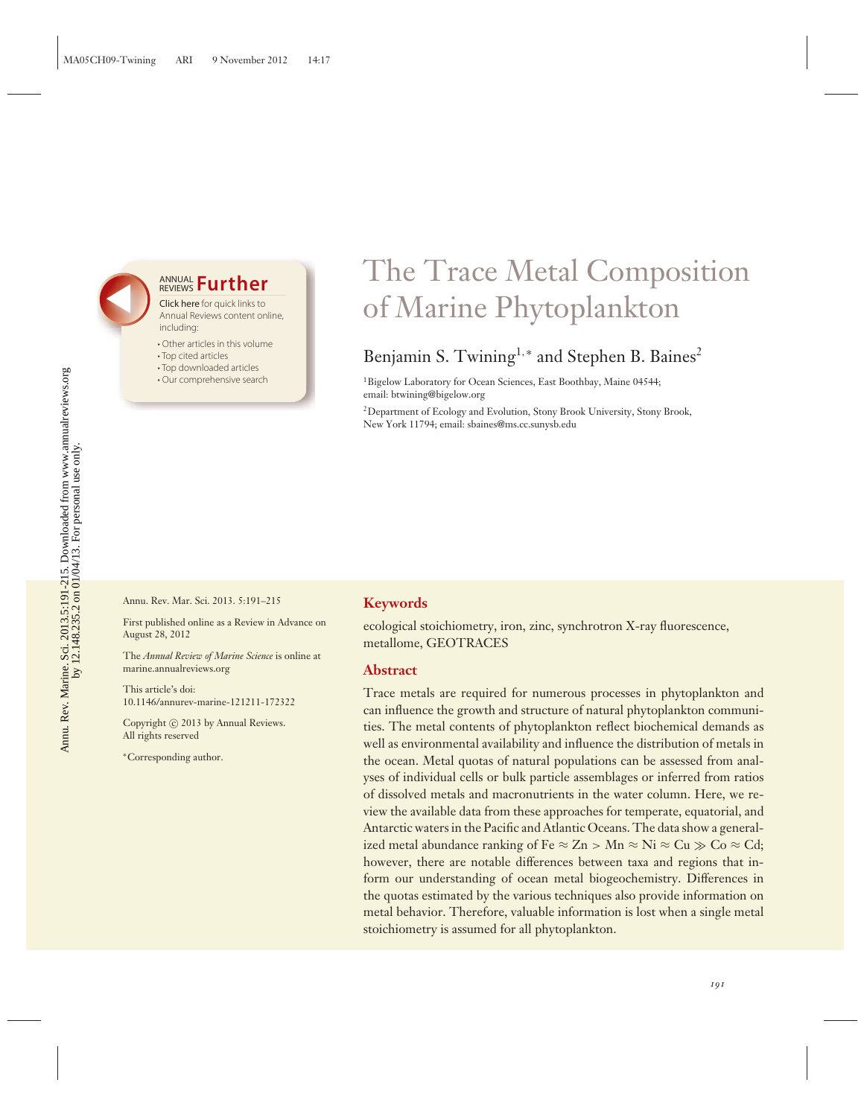## **ANNUAL Further**

Click here for quick links to Annual Reviews content online, including:

- Other articles in this volume
- Top cited articles
- Top downloaded articles
- Our comprehensive search

# The Trace Metal Composition of Marine Phytoplankton

## Benjamin S. Twining<sup>1,∗</sup> and Stephen B. Baines<sup>2</sup>

<sup>1</sup>Bigelow Laboratory for Ocean Sciences, East Boothbay, Maine 04544; email: btwining@bigelow.org

2Department of Ecology and Evolution, Stony Brook University, Stony Brook, New York 11794; email: sbaines@ms.cc.sunysb.edu

#### Annu. Rev. Mar. Sci. 2013. 5:191–215

First published online as a Review in Advance on August 28, 2012

The *Annual Review of Marine Science* is online at marine.annualreviews.org

This article's doi: 10.1146/annurev-marine-121211-172322

Copyright © 2013 by Annual Reviews. All rights reserved

∗Corresponding author.

#### **Keywords**

ecological stoichiometry, iron, zinc, synchrotron X-ray fluorescence, metallome, GEOTRACES

#### **Abstract**

Trace metals are required for numerous processes in phytoplankton and can influence the growth and structure of natural phytoplankton communities. The metal contents of phytoplankton reflect biochemical demands as well as environmental availability and influence the distribution of metals in the ocean. Metal quotas of natural populations can be assessed from analyses of individual cells or bulk particle assemblages or inferred from ratios of dissolved metals and macronutrients in the water column. Here, we review the available data from these approaches for temperate, equatorial, and Antarctic waters in the Pacific and Atlantic Oceans. The data show a generalized metal abundance ranking of Fe  $\approx Zn > Mn \approx Ni \approx Cu \gg Co \approx Cd;$ however, there are notable differences between taxa and regions that inform our understanding of ocean metal biogeochemistry. Differences in the quotas estimated by the various techniques also provide information on metal behavior. Therefore, valuable information is lost when a single metal stoichiometry is assumed for all phytoplankton.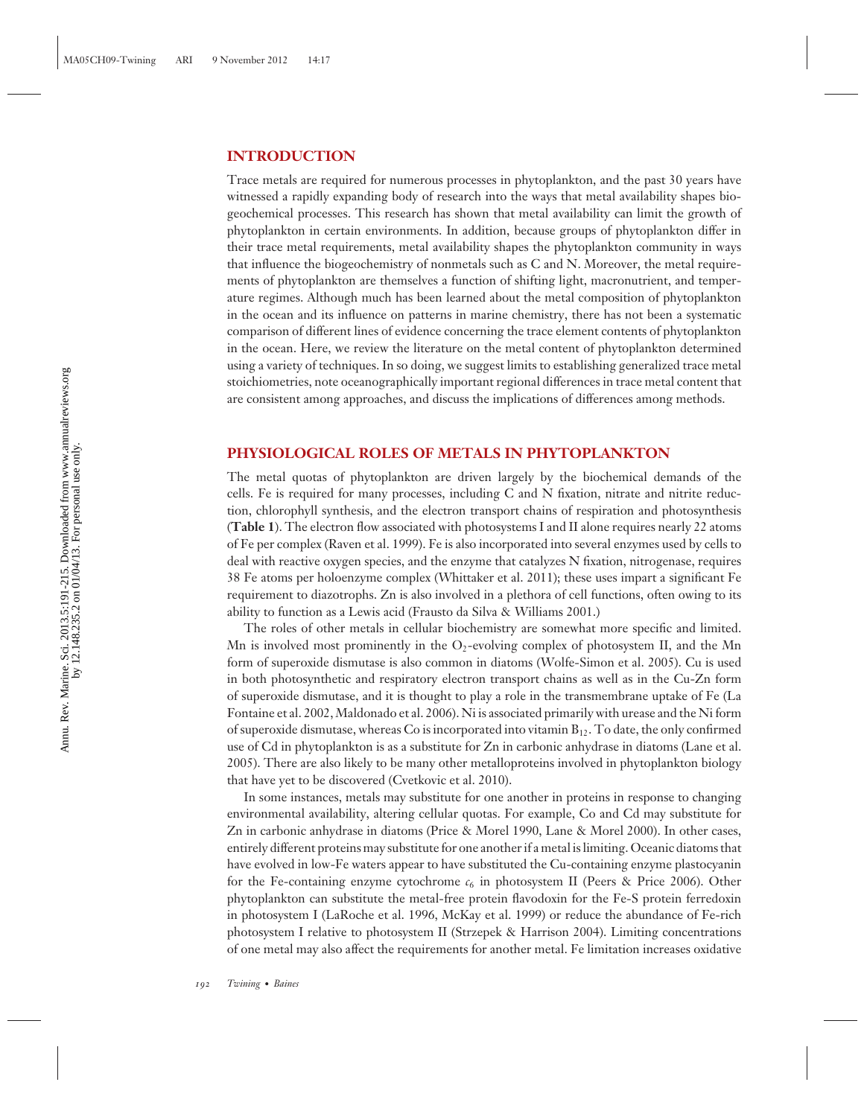#### **INTRODUCTION**

Trace metals are required for numerous processes in phytoplankton, and the past 30 years have witnessed a rapidly expanding body of research into the ways that metal availability shapes biogeochemical processes. This research has shown that metal availability can limit the growth of phytoplankton in certain environments. In addition, because groups of phytoplankton differ in their trace metal requirements, metal availability shapes the phytoplankton community in ways that influence the biogeochemistry of nonmetals such as C and N. Moreover, the metal requirements of phytoplankton are themselves a function of shifting light, macronutrient, and temperature regimes. Although much has been learned about the metal composition of phytoplankton in the ocean and its influence on patterns in marine chemistry, there has not been a systematic comparison of different lines of evidence concerning the trace element contents of phytoplankton in the ocean. Here, we review the literature on the metal content of phytoplankton determined using a variety of techniques. In so doing, we suggest limits to establishing generalized trace metal stoichiometries, note oceanographically important regional differences in trace metal content that are consistent among approaches, and discuss the implications of differences among methods.

#### **PHYSIOLOGICAL ROLES OF METALS IN PHYTOPLANKTON**

The metal quotas of phytoplankton are driven largely by the biochemical demands of the cells. Fe is required for many processes, including C and N fixation, nitrate and nitrite reduction, chlorophyll synthesis, and the electron transport chains of respiration and photosynthesis (**Table 1**). The electron flow associated with photosystems I and II alone requires nearly 22 atoms of Fe per complex (Raven et al. 1999). Fe is also incorporated into several enzymes used by cells to deal with reactive oxygen species, and the enzyme that catalyzes N fixation, nitrogenase, requires 38 Fe atoms per holoenzyme complex (Whittaker et al. 2011); these uses impart a significant Fe requirement to diazotrophs. Zn is also involved in a plethora of cell functions, often owing to its ability to function as a Lewis acid (Frausto da Silva & Williams 2001.)

The roles of other metals in cellular biochemistry are somewhat more specific and limited. Mn is involved most prominently in the  $O_2$ -evolving complex of photosystem II, and the Mn form of superoxide dismutase is also common in diatoms (Wolfe-Simon et al. 2005). Cu is used in both photosynthetic and respiratory electron transport chains as well as in the Cu-Zn form of superoxide dismutase, and it is thought to play a role in the transmembrane uptake of Fe (La Fontaine et al. 2002, Maldonado et al. 2006). Ni is associated primarily with urease and the Ni form of superoxide dismutase, whereas Co is incorporated into vitamin  $B_{12}$ . To date, the only confirmed use of Cd in phytoplankton is as a substitute for Zn in carbonic anhydrase in diatoms (Lane et al. 2005). There are also likely to be many other metalloproteins involved in phytoplankton biology that have yet to be discovered (Cvetkovic et al. 2010).

In some instances, metals may substitute for one another in proteins in response to changing environmental availability, altering cellular quotas. For example, Co and Cd may substitute for Zn in carbonic anhydrase in diatoms (Price & Morel 1990, Lane & Morel 2000). In other cases, entirely different proteins may substitute for one another if a metal is limiting. Oceanic diatoms that have evolved in low-Fe waters appear to have substituted the Cu-containing enzyme plastocyanin for the Fe-containing enzyme cytochrome  $c_6$  in photosystem II (Peers & Price 2006). Other phytoplankton can substitute the metal-free protein flavodoxin for the Fe-S protein ferredoxin in photosystem I (LaRoche et al. 1996, McKay et al. 1999) or reduce the abundance of Fe-rich photosystem I relative to photosystem II (Strzepek & Harrison 2004). Limiting concentrations of one metal may also affect the requirements for another metal. Fe limitation increases oxidative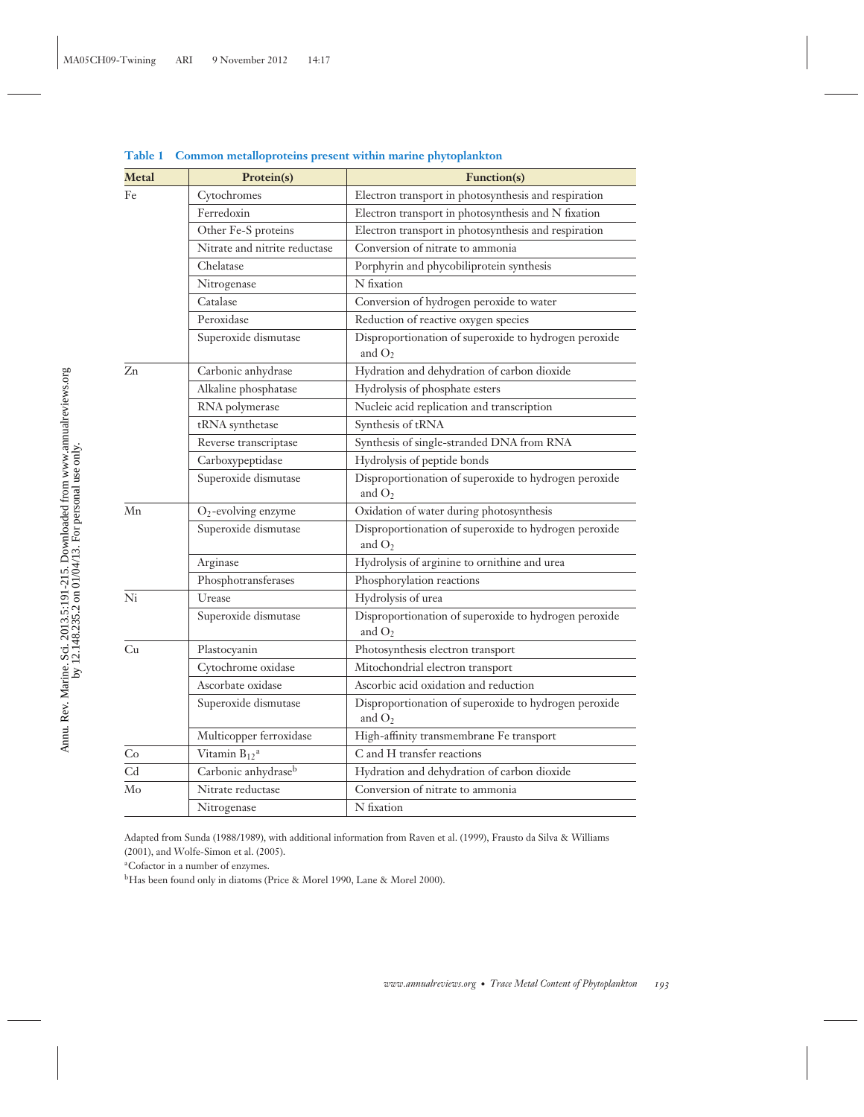| Metal | Protein(s)                           | Function(s)                                                        |  |  |  |  |
|-------|--------------------------------------|--------------------------------------------------------------------|--|--|--|--|
| Fe    | Cytochromes                          | Electron transport in photosynthesis and respiration               |  |  |  |  |
|       | Ferredoxin                           | Electron transport in photosynthesis and N fixation                |  |  |  |  |
|       | Other Fe-S proteins                  | Electron transport in photosynthesis and respiration               |  |  |  |  |
|       | Nitrate and nitrite reductase        | Conversion of nitrate to ammonia                                   |  |  |  |  |
|       | Chelatase                            | Porphyrin and phycobiliprotein synthesis                           |  |  |  |  |
|       | Nitrogenase                          | N fixation                                                         |  |  |  |  |
|       | Catalase                             | Conversion of hydrogen peroxide to water                           |  |  |  |  |
|       | Peroxidase                           | Reduction of reactive oxygen species                               |  |  |  |  |
|       | Superoxide dismutase                 | Disproportionation of superoxide to hydrogen peroxide<br>and $O2$  |  |  |  |  |
| Zn    | Carbonic anhydrase                   | Hydration and dehydration of carbon dioxide                        |  |  |  |  |
|       | Alkaline phosphatase                 | Hydrolysis of phosphate esters                                     |  |  |  |  |
|       | RNA polymerase                       | Nucleic acid replication and transcription                         |  |  |  |  |
|       | tRNA synthetase                      | Synthesis of tRNA                                                  |  |  |  |  |
|       | Reverse transcriptase                | Synthesis of single-stranded DNA from RNA                          |  |  |  |  |
|       | Carboxypeptidase                     | Hydrolysis of peptide bonds                                        |  |  |  |  |
|       | Superoxide dismutase                 | Disproportionation of superoxide to hydrogen peroxide<br>and $O_2$ |  |  |  |  |
| Mn    | $O2$ -evolving enzyme                | Oxidation of water during photosynthesis                           |  |  |  |  |
|       | Superoxide dismutase                 | Disproportionation of superoxide to hydrogen peroxide<br>and $O_2$ |  |  |  |  |
|       | Arginase                             | Hydrolysis of arginine to ornithine and urea                       |  |  |  |  |
|       | Phosphotransferases                  | Phosphorylation reactions                                          |  |  |  |  |
| Ni    | Urease                               | Hydrolysis of urea                                                 |  |  |  |  |
|       | Superoxide dismutase                 | Disproportionation of superoxide to hydrogen peroxide<br>and $O_2$ |  |  |  |  |
| Cu    | Plastocyanin                         | Photosynthesis electron transport                                  |  |  |  |  |
|       | Cytochrome oxidase                   | Mitochondrial electron transport                                   |  |  |  |  |
|       | Ascorbate oxidase                    | Ascorbic acid oxidation and reduction                              |  |  |  |  |
|       | Superoxide dismutase                 | Disproportionation of superoxide to hydrogen peroxide<br>and $O_2$ |  |  |  |  |
|       | Multicopper ferroxidase              | High-affinity transmembrane Fe transport                           |  |  |  |  |
| Co    | Vitamin B <sub>12</sub> <sup>a</sup> | C and H transfer reactions                                         |  |  |  |  |
| Cd    | Carbonic anhydrase <sup>b</sup>      | Hydration and dehydration of carbon dioxide                        |  |  |  |  |
| Mo    | Nitrate reductase                    | Conversion of nitrate to ammonia                                   |  |  |  |  |
|       | Nitrogenase                          | N fixation                                                         |  |  |  |  |

**Table 1 Common metalloproteins present within marine phytoplankton**

Adapted from Sunda (1988/1989), with additional information from Raven et al. (1999), Frausto da Silva & Williams (2001), and Wolfe-Simon et al. (2005).

aCofactor in a number of enzymes.

bHas been found only in diatoms (Price & Morel 1990, Lane & Morel 2000).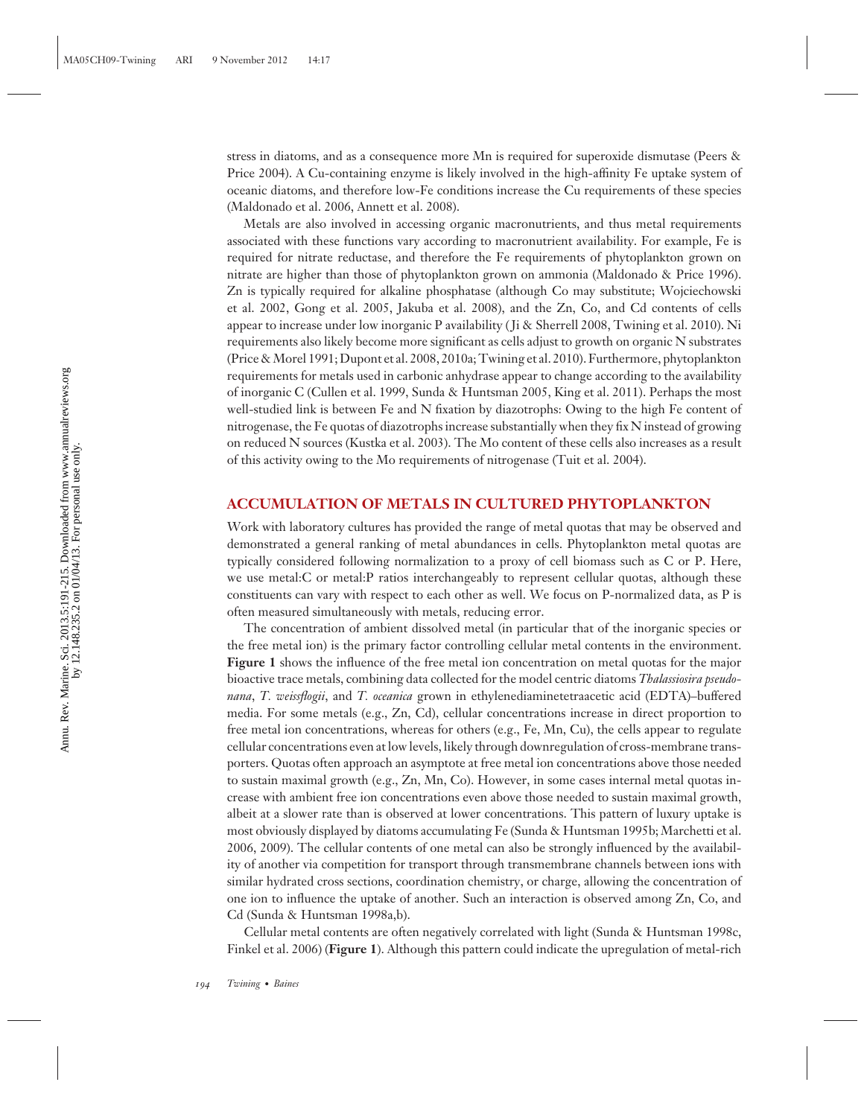stress in diatoms, and as a consequence more Mn is required for superoxide dismutase (Peers & Price 2004). A Cu-containing enzyme is likely involved in the high-affinity Fe uptake system of oceanic diatoms, and therefore low-Fe conditions increase the Cu requirements of these species (Maldonado et al. 2006, Annett et al. 2008).

Metals are also involved in accessing organic macronutrients, and thus metal requirements associated with these functions vary according to macronutrient availability. For example, Fe is required for nitrate reductase, and therefore the Fe requirements of phytoplankton grown on nitrate are higher than those of phytoplankton grown on ammonia (Maldonado & Price 1996). Zn is typically required for alkaline phosphatase (although Co may substitute; Wojciechowski et al. 2002, Gong et al. 2005, Jakuba et al. 2008), and the Zn, Co, and Cd contents of cells appear to increase under low inorganic P availability ( Ji & Sherrell 2008, Twining et al. 2010). Ni requirements also likely become more significant as cells adjust to growth on organic N substrates (Price & Morel 1991; Dupont et al. 2008, 2010a; Twining et al. 2010). Furthermore, phytoplankton requirements for metals used in carbonic anhydrase appear to change according to the availability of inorganic C (Cullen et al. 1999, Sunda & Huntsman 2005, King et al. 2011). Perhaps the most well-studied link is between Fe and N fixation by diazotrophs: Owing to the high Fe content of nitrogenase, the Fe quotas of diazotrophs increase substantially when they fix N instead of growing on reduced N sources (Kustka et al. 2003). The Mo content of these cells also increases as a result of this activity owing to the Mo requirements of nitrogenase (Tuit et al. 2004).

#### **ACCUMULATION OF METALS IN CULTURED PHYTOPLANKTON**

Work with laboratory cultures has provided the range of metal quotas that may be observed and demonstrated a general ranking of metal abundances in cells. Phytoplankton metal quotas are typically considered following normalization to a proxy of cell biomass such as C or P. Here, we use metal:C or metal:P ratios interchangeably to represent cellular quotas, although these constituents can vary with respect to each other as well. We focus on P-normalized data, as P is often measured simultaneously with metals, reducing error.

The concentration of ambient dissolved metal (in particular that of the inorganic species or the free metal ion) is the primary factor controlling cellular metal contents in the environment. **Figure 1** shows the influence of the free metal ion concentration on metal quotas for the major bioactive trace metals, combining data collected for the model centric diatoms *Thalassiosira pseudonana*, *T. weissflogii*, and *T. oceanica* grown in ethylenediaminetetraacetic acid (EDTA)–buffered media. For some metals (e.g., Zn, Cd), cellular concentrations increase in direct proportion to free metal ion concentrations, whereas for others (e.g., Fe, Mn, Cu), the cells appear to regulate cellular concentrations even at low levels, likely through downregulation of cross-membrane transporters. Quotas often approach an asymptote at free metal ion concentrations above those needed to sustain maximal growth (e.g., Zn, Mn, Co). However, in some cases internal metal quotas increase with ambient free ion concentrations even above those needed to sustain maximal growth, albeit at a slower rate than is observed at lower concentrations. This pattern of luxury uptake is most obviously displayed by diatoms accumulating Fe (Sunda & Huntsman 1995b; Marchetti et al. 2006, 2009). The cellular contents of one metal can also be strongly influenced by the availability of another via competition for transport through transmembrane channels between ions with similar hydrated cross sections, coordination chemistry, or charge, allowing the concentration of one ion to influence the uptake of another. Such an interaction is observed among Zn, Co, and Cd (Sunda & Huntsman 1998a,b).

Cellular metal contents are often negatively correlated with light (Sunda & Huntsman 1998c, Finkel et al. 2006) (**Figure 1**). Although this pattern could indicate the upregulation of metal-rich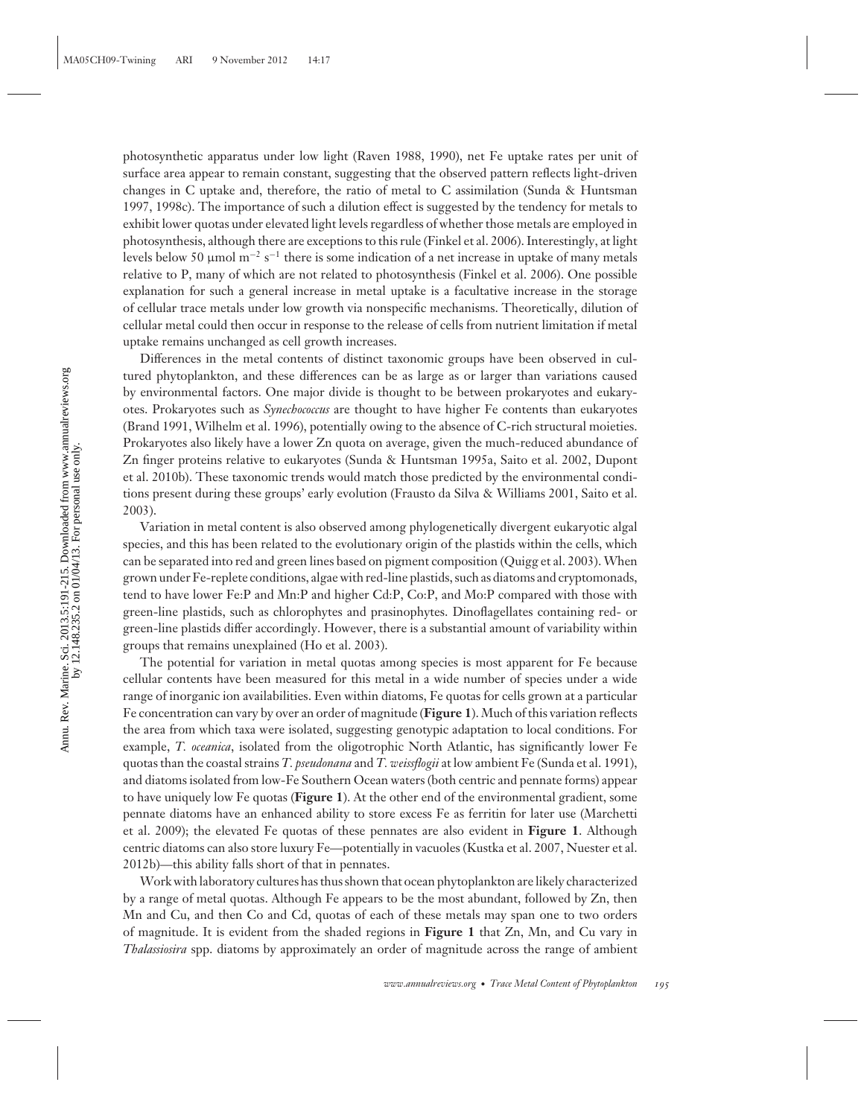photosynthetic apparatus under low light (Raven 1988, 1990), net Fe uptake rates per unit of surface area appear to remain constant, suggesting that the observed pattern reflects light-driven changes in C uptake and, therefore, the ratio of metal to C assimilation (Sunda & Huntsman 1997, 1998c). The importance of such a dilution effect is suggested by the tendency for metals to exhibit lower quotas under elevated light levels regardless of whether those metals are employed in photosynthesis, although there are exceptions to this rule (Finkel et al. 2006). Interestingly, at light levels below 50 μmol m−<sup>2</sup> s−<sup>1</sup> there is some indication of a net increase in uptake of many metals relative to P, many of which are not related to photosynthesis (Finkel et al. 2006). One possible explanation for such a general increase in metal uptake is a facultative increase in the storage of cellular trace metals under low growth via nonspecific mechanisms. Theoretically, dilution of cellular metal could then occur in response to the release of cells from nutrient limitation if metal uptake remains unchanged as cell growth increases.

Differences in the metal contents of distinct taxonomic groups have been observed in cultured phytoplankton, and these differences can be as large as or larger than variations caused by environmental factors. One major divide is thought to be between prokaryotes and eukaryotes. Prokaryotes such as *Synechococcus* are thought to have higher Fe contents than eukaryotes (Brand 1991, Wilhelm et al. 1996), potentially owing to the absence of C-rich structural moieties. Prokaryotes also likely have a lower Zn quota on average, given the much-reduced abundance of Zn finger proteins relative to eukaryotes (Sunda & Huntsman 1995a, Saito et al. 2002, Dupont et al. 2010b). These taxonomic trends would match those predicted by the environmental conditions present during these groups' early evolution (Frausto da Silva & Williams 2001, Saito et al. 2003).

Variation in metal content is also observed among phylogenetically divergent eukaryotic algal species, and this has been related to the evolutionary origin of the plastids within the cells, which can be separated into red and green lines based on pigment composition (Quigg et al. 2003). When grown under Fe-replete conditions, algae with red-line plastids, such as diatoms and cryptomonads, tend to have lower Fe:P and Mn:P and higher Cd:P, Co:P, and Mo:P compared with those with green-line plastids, such as chlorophytes and prasinophytes. Dinoflagellates containing red- or green-line plastids differ accordingly. However, there is a substantial amount of variability within groups that remains unexplained (Ho et al. 2003).

The potential for variation in metal quotas among species is most apparent for Fe because cellular contents have been measured for this metal in a wide number of species under a wide range of inorganic ion availabilities. Even within diatoms, Fe quotas for cells grown at a particular Fe concentration can vary by over an order of magnitude (**Figure 1**). Much of this variation reflects the area from which taxa were isolated, suggesting genotypic adaptation to local conditions. For example, *T. oceanica*, isolated from the oligotrophic North Atlantic, has significantly lower Fe quotas than the coastal strains *T. pseudonana* and *T. weissflogii* at low ambient Fe (Sunda et al. 1991), and diatoms isolated from low-Fe Southern Ocean waters (both centric and pennate forms) appear to have uniquely low Fe quotas (**Figure 1**). At the other end of the environmental gradient, some pennate diatoms have an enhanced ability to store excess Fe as ferritin for later use (Marchetti et al. 2009); the elevated Fe quotas of these pennates are also evident in **Figure 1**. Although centric diatoms can also store luxury Fe—potentially in vacuoles (Kustka et al. 2007, Nuester et al. 2012b)—this ability falls short of that in pennates.

Work with laboratory cultures has thus shown that ocean phytoplankton are likely characterized by a range of metal quotas. Although Fe appears to be the most abundant, followed by Zn, then Mn and Cu, and then Co and Cd, quotas of each of these metals may span one to two orders of magnitude. It is evident from the shaded regions in **Figure 1** that Zn, Mn, and Cu vary in *Thalassiosira* spp. diatoms by approximately an order of magnitude across the range of ambient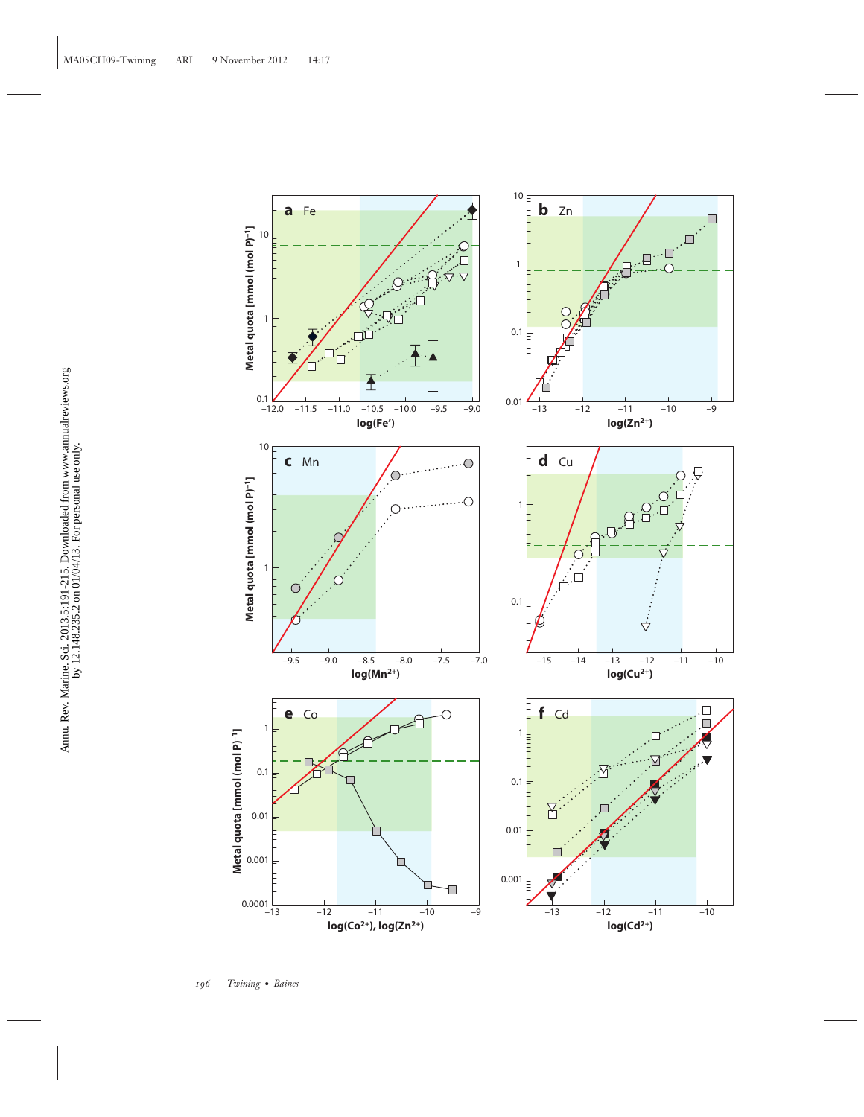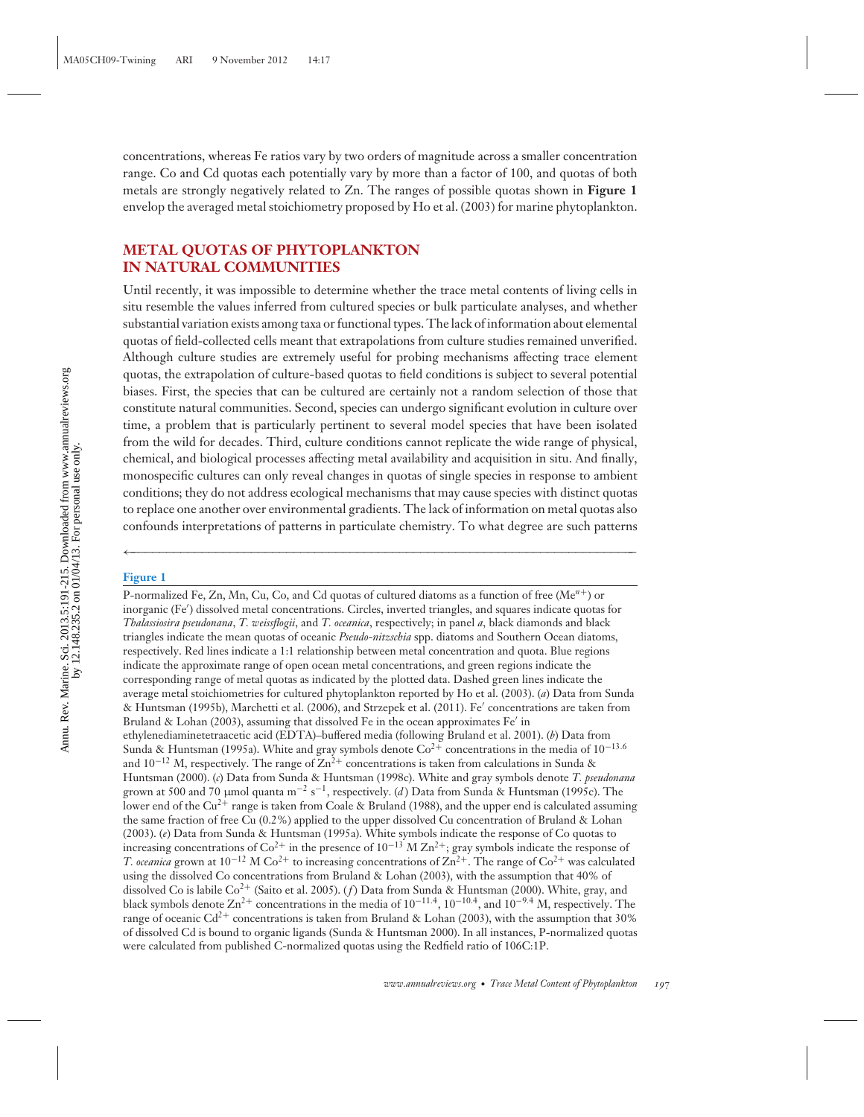concentrations, whereas Fe ratios vary by two orders of magnitude across a smaller concentration range. Co and Cd quotas each potentially vary by more than a factor of 100, and quotas of both metals are strongly negatively related to Zn. The ranges of possible quotas shown in **Figure 1** envelop the averaged metal stoichiometry proposed by Ho et al. (2003) for marine phytoplankton.

### **METAL QUOTAS OF PHYTOPLANKTON IN NATURAL COMMUNITIES**

Until recently, it was impossible to determine whether the trace metal contents of living cells in situ resemble the values inferred from cultured species or bulk particulate analyses, and whether substantial variation exists among taxa or functional types. The lack of information about elemental quotas of field-collected cells meant that extrapolations from culture studies remained unverified. Although culture studies are extremely useful for probing mechanisms affecting trace element quotas, the extrapolation of culture-based quotas to field conditions is subject to several potential biases. First, the species that can be cultured are certainly not a random selection of those that constitute natural communities. Second, species can undergo significant evolution in culture over time, a problem that is particularly pertinent to several model species that have been isolated from the wild for decades. Third, culture conditions cannot replicate the wide range of physical, chemical, and biological processes affecting metal availability and acquisition in situ. And finally, monospecific cultures can only reveal changes in quotas of single species in response to ambient conditions; they do not address ecological mechanisms that may cause species with distinct quotas to replace one another over environmental gradients. The lack of information on metal quotas also confounds interpretations of patterns in particulate chemistry. To what degree are such patterns

←−−−−−−−−−−−−−−−−−−−−−−−−−−−−−−−−−−−−−−−−−−−−−−−−−−−−−−−−−−−−−−−−−−−−−−−−

#### **Figure 1**

P-normalized Fe, Zn, Mn, Cu, Co, and Cd quotas of cultured diatoms as a function of free (Me*n*+) or inorganic (Fe ) dissolved metal concentrations. Circles, inverted triangles, and squares indicate quotas for *Thalassiosira pseudonana*, *T. weissflogii*, and *T. oceanica*, respectively; in panel *a*, black diamonds and black triangles indicate the mean quotas of oceanic *Pseudo-nitzschia* spp. diatoms and Southern Ocean diatoms, respectively. Red lines indicate a 1:1 relationship between metal concentration and quota. Blue regions indicate the approximate range of open ocean metal concentrations, and green regions indicate the corresponding range of metal quotas as indicated by the plotted data. Dashed green lines indicate the average metal stoichiometries for cultured phytoplankton reported by Ho et al. (2003). (*a*) Data from Sunda & Huntsman (1995b), Marchetti et al. (2006), and Strzepek et al. (2011). Fe' concentrations are taken from Bruland & Lohan (2003), assuming that dissolved Fe in the ocean approximates Fe' in ethylenediaminetetraacetic acid (EDTA)–buffered media (following Bruland et al. 2001). (*b*) Data from Sunda & Huntsman (1995a). White and gray symbols denote Co<sup>2+</sup> concentrations in the media of 10<sup>-13.6</sup> and  $10^{-12}$  M, respectively. The range of Zn<sup>2+</sup> concentrations is taken from calculations in Sunda & Huntsman (2000). (*c*) Data from Sunda & Huntsman (1998c). White and gray symbols denote *T. pseudonana* grown at 500 and 70 μmol quanta m−<sup>2</sup> s−1, respectively. (*d* ) Data from Sunda & Huntsman (1995c). The lower end of the  $Cu^{2+}$  range is taken from Coale & Bruland (1988), and the upper end is calculated assuming the same fraction of free Cu (0.2%) applied to the upper dissolved Cu concentration of Bruland & Lohan (2003). (*e*) Data from Sunda & Huntsman (1995a). White symbols indicate the response of Co quotas to increasing concentrations of  $Co^{2+}$  in the presence of  $10^{-13}$  M Zn<sup>2+</sup>; gray symbols indicate the response of *T. oceanica* grown at  $10^{-12}$  M  $Co^{2+}$  to increasing concentrations of  $Zn^{2+}$ . The range of  $Co^{2+}$  was calculated using the dissolved Co concentrations from Bruland & Lohan (2003), with the assumption that 40% of dissolved Co is labile  $Co^{2+}$  (Saito et al. 2005). (*f*) Data from Sunda & Huntsman (2000). White, gray, and black symbols denote  $Zn^{2+}$  concentrations in the media of  $10^{-11.4}$ ,  $10^{-10.4}$ , and  $10^{-9.4}$  M, respectively. The range of oceanic Cd<sup>2+</sup> concentrations is taken from Bruland & Lohan (2003), with the assumption that 30% of dissolved Cd is bound to organic ligands (Sunda & Huntsman 2000). In all instances, P-normalized quotas were calculated from published C-normalized quotas using the Redfield ratio of 106C:1P.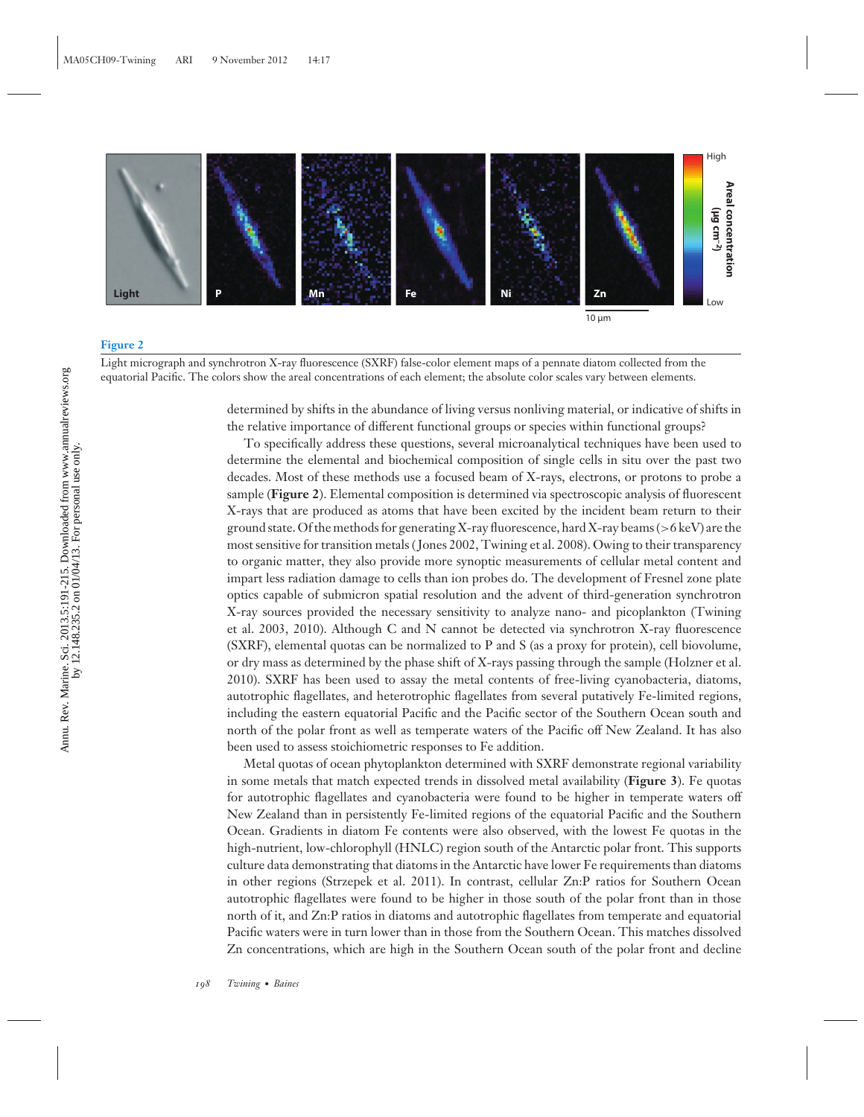

#### **Figure 2**

Light micrograph and synchrotron X-ray fluorescence (SXRF) false-color element maps of a pennate diatom collected from the equatorial Pacific. The colors show the areal concentrations of each element; the absolute color scales vary between elements.

determined by shifts in the abundance of living versus nonliving material, or indicative of shifts in the relative importance of different functional groups or species within functional groups?

To specifically address these questions, several microanalytical techniques have been used to determine the elemental and biochemical composition of single cells in situ over the past two decades. Most of these methods use a focused beam of X-rays, electrons, or protons to probe a sample (**Figure 2**). Elemental composition is determined via spectroscopic analysis of fluorescent X-rays that are produced as atoms that have been excited by the incident beam return to their ground state. Of the methods for generating X-ray fluorescence, hard X-ray beams (>6 keV) are the most sensitive for transition metals ( Jones 2002, Twining et al. 2008). Owing to their transparency to organic matter, they also provide more synoptic measurements of cellular metal content and impart less radiation damage to cells than ion probes do. The development of Fresnel zone plate optics capable of submicron spatial resolution and the advent of third-generation synchrotron X-ray sources provided the necessary sensitivity to analyze nano- and picoplankton (Twining et al. 2003, 2010). Although C and N cannot be detected via synchrotron X-ray fluorescence (SXRF), elemental quotas can be normalized to P and S (as a proxy for protein), cell biovolume, or dry mass as determined by the phase shift of X-rays passing through the sample (Holzner et al. 2010). SXRF has been used to assay the metal contents of free-living cyanobacteria, diatoms, autotrophic flagellates, and heterotrophic flagellates from several putatively Fe-limited regions, including the eastern equatorial Pacific and the Pacific sector of the Southern Ocean south and north of the polar front as well as temperate waters of the Pacific off New Zealand. It has also been used to assess stoichiometric responses to Fe addition.

Metal quotas of ocean phytoplankton determined with SXRF demonstrate regional variability in some metals that match expected trends in dissolved metal availability (**Figure 3**). Fe quotas for autotrophic flagellates and cyanobacteria were found to be higher in temperate waters off New Zealand than in persistently Fe-limited regions of the equatorial Pacific and the Southern Ocean. Gradients in diatom Fe contents were also observed, with the lowest Fe quotas in the high-nutrient, low-chlorophyll (HNLC) region south of the Antarctic polar front. This supports culture data demonstrating that diatoms in the Antarctic have lower Fe requirements than diatoms in other regions (Strzepek et al. 2011). In contrast, cellular Zn:P ratios for Southern Ocean autotrophic flagellates were found to be higher in those south of the polar front than in those north of it, and Zn:P ratios in diatoms and autotrophic flagellates from temperate and equatorial Pacific waters were in turn lower than in those from the Southern Ocean. This matches dissolved Zn concentrations, which are high in the Southern Ocean south of the polar front and decline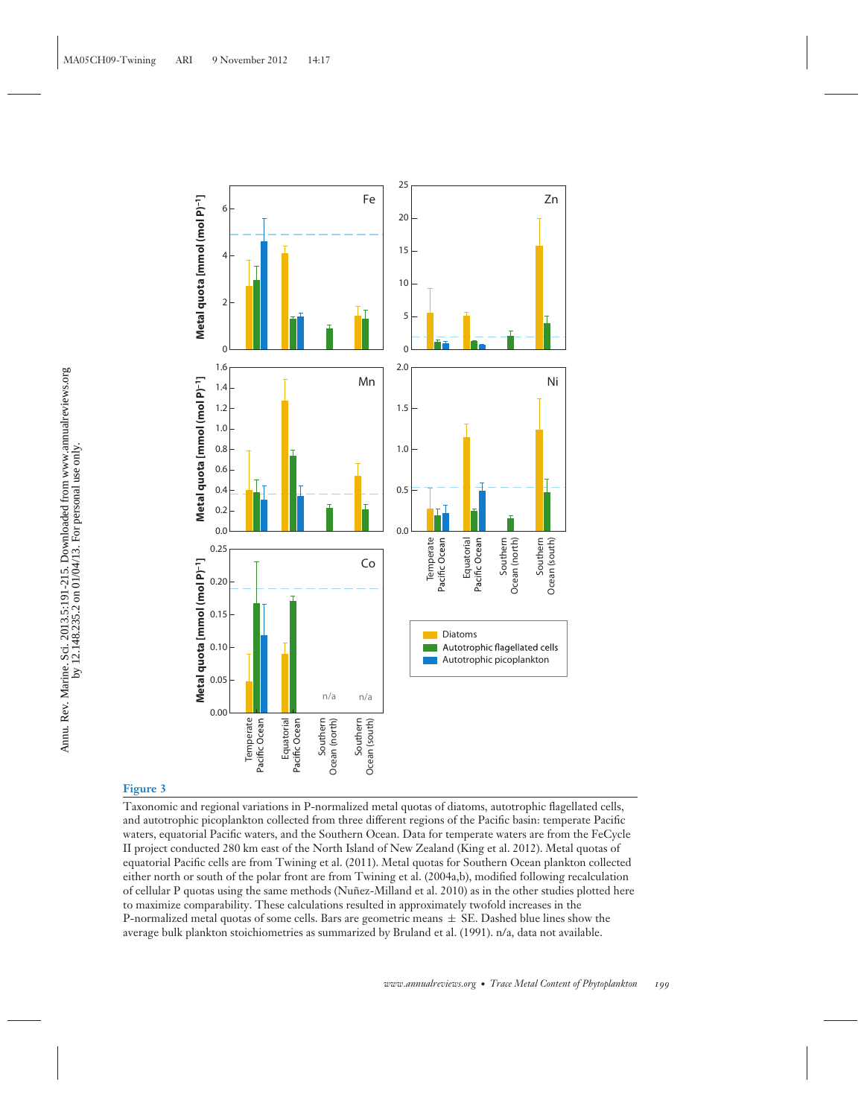

#### **Figure 3**

Taxonomic and regional variations in P-normalized metal quotas of diatoms, autotrophic flagellated cells, and autotrophic picoplankton collected from three different regions of the Pacific basin: temperate Pacific waters, equatorial Pacific waters, and the Southern Ocean. Data for temperate waters are from the FeCycle II project conducted 280 km east of the North Island of New Zealand (King et al. 2012). Metal quotas of equatorial Pacific cells are from Twining et al. (2011). Metal quotas for Southern Ocean plankton collected either north or south of the polar front are from Twining et al. (2004a,b), modified following recalculation of cellular P quotas using the same methods (Nuñez-Milland et al. 2010) as in the other studies plotted here to maximize comparability. These calculations resulted in approximately twofold increases in the P-normalized metal quotas of some cells. Bars are geometric means  $\pm$  SE. Dashed blue lines show the average bulk plankton stoichiometries as summarized by Bruland et al. (1991). n/a, data not available.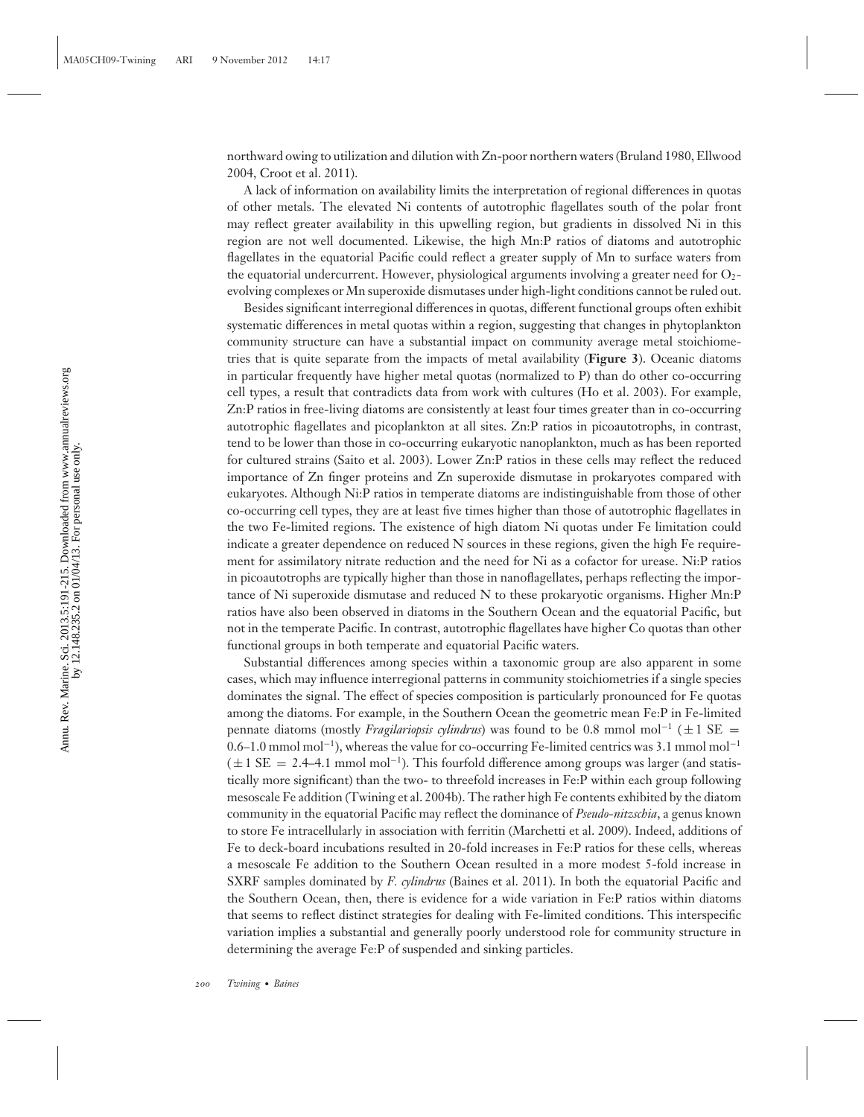northward owing to utilization and dilution with Zn-poor northern waters (Bruland 1980, Ellwood 2004, Croot et al. 2011).

A lack of information on availability limits the interpretation of regional differences in quotas of other metals. The elevated Ni contents of autotrophic flagellates south of the polar front may reflect greater availability in this upwelling region, but gradients in dissolved Ni in this region are not well documented. Likewise, the high Mn:P ratios of diatoms and autotrophic flagellates in the equatorial Pacific could reflect a greater supply of Mn to surface waters from the equatorial undercurrent. However, physiological arguments involving a greater need for  $O<sub>2</sub>$ evolving complexes or Mn superoxide dismutases under high-light conditions cannot be ruled out.

Besides significant interregional differences in quotas, different functional groups often exhibit systematic differences in metal quotas within a region, suggesting that changes in phytoplankton community structure can have a substantial impact on community average metal stoichiometries that is quite separate from the impacts of metal availability (**Figure 3**). Oceanic diatoms in particular frequently have higher metal quotas (normalized to P) than do other co-occurring cell types, a result that contradicts data from work with cultures (Ho et al. 2003). For example, Zn:P ratios in free-living diatoms are consistently at least four times greater than in co-occurring autotrophic flagellates and picoplankton at all sites. Zn:P ratios in picoautotrophs, in contrast, tend to be lower than those in co-occurring eukaryotic nanoplankton, much as has been reported for cultured strains (Saito et al. 2003). Lower Zn:P ratios in these cells may reflect the reduced importance of Zn finger proteins and Zn superoxide dismutase in prokaryotes compared with eukaryotes. Although Ni:P ratios in temperate diatoms are indistinguishable from those of other co-occurring cell types, they are at least five times higher than those of autotrophic flagellates in the two Fe-limited regions. The existence of high diatom Ni quotas under Fe limitation could indicate a greater dependence on reduced N sources in these regions, given the high Fe requirement for assimilatory nitrate reduction and the need for Ni as a cofactor for urease. Ni:P ratios in picoautotrophs are typically higher than those in nanoflagellates, perhaps reflecting the importance of Ni superoxide dismutase and reduced N to these prokaryotic organisms. Higher Mn:P ratios have also been observed in diatoms in the Southern Ocean and the equatorial Pacific, but not in the temperate Pacific. In contrast, autotrophic flagellates have higher Co quotas than other functional groups in both temperate and equatorial Pacific waters.

Substantial differences among species within a taxonomic group are also apparent in some cases, which may influence interregional patterns in community stoichiometries if a single species dominates the signal. The effect of species composition is particularly pronounced for Fe quotas among the diatoms. For example, in the Southern Ocean the geometric mean Fe:P in Fe-limited pennate diatoms (mostly *Fragilariopsis cylindrus*) was found to be 0.8 mmol mol<sup>−1</sup> (± 1 SE = 0.6–1.0 mmol mol−1), whereas the value for co-occurring Fe-limited centrics was 3.1 mmol mol−<sup>1</sup>  $(\pm 1 \text{ SE} = 2.4-4.1 \text{ mmol mol}^{-1})$ . This fourfold difference among groups was larger (and statistically more significant) than the two- to threefold increases in Fe:P within each group following mesoscale Fe addition (Twining et al. 2004b). The rather high Fe contents exhibited by the diatom community in the equatorial Pacific may reflect the dominance of *Pseudo-nitzschia*, a genus known to store Fe intracellularly in association with ferritin (Marchetti et al. 2009). Indeed, additions of Fe to deck-board incubations resulted in 20-fold increases in Fe:P ratios for these cells, whereas a mesoscale Fe addition to the Southern Ocean resulted in a more modest 5-fold increase in SXRF samples dominated by *F. cylindrus* (Baines et al. 2011). In both the equatorial Pacific and the Southern Ocean, then, there is evidence for a wide variation in Fe:P ratios within diatoms that seems to reflect distinct strategies for dealing with Fe-limited conditions. This interspecific variation implies a substantial and generally poorly understood role for community structure in determining the average Fe:P of suspended and sinking particles.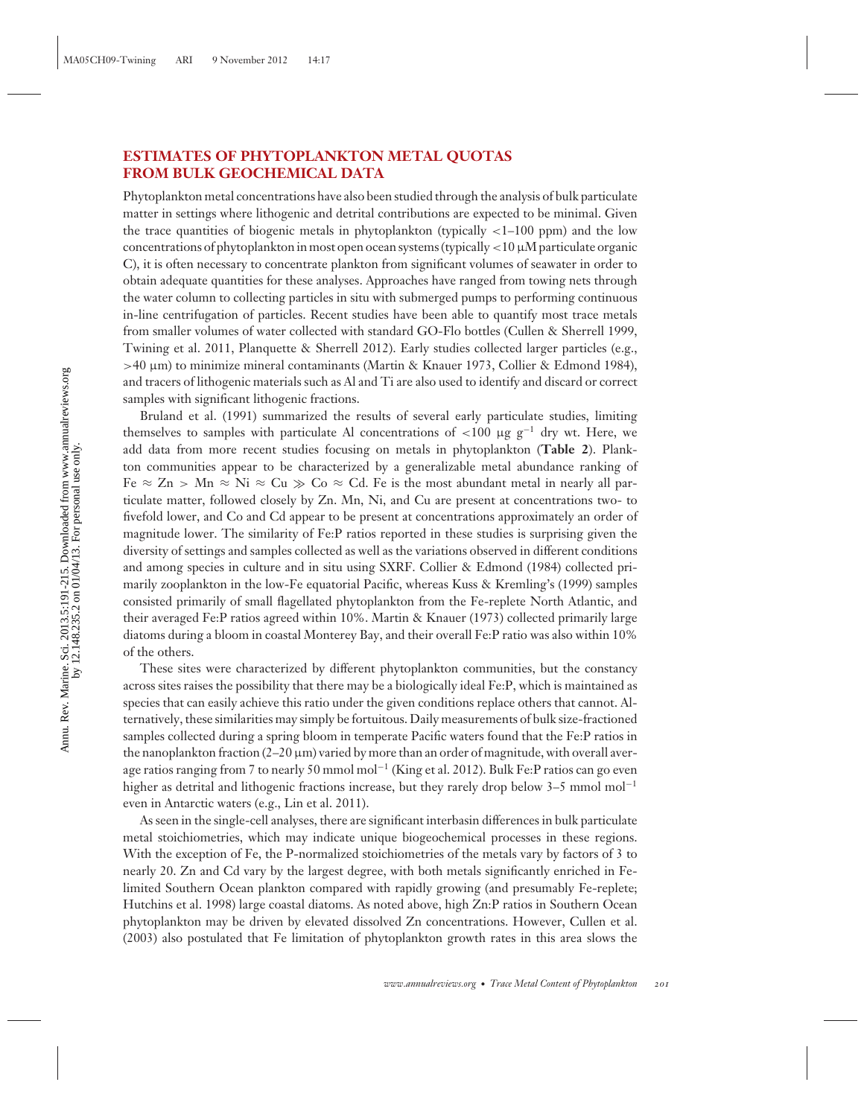### **ESTIMATES OF PHYTOPLANKTON METAL QUOTAS FROM BULK GEOCHEMICAL DATA**

Phytoplankton metal concentrations have also been studied through the analysis of bulk particulate matter in settings where lithogenic and detrital contributions are expected to be minimal. Given the trace quantities of biogenic metals in phytoplankton (typically  $\lt$ 1–100 ppm) and the low concentrations of phytoplankton in most open ocean systems (typically  $<$  10  $\mu$ M particulate organic C), it is often necessary to concentrate plankton from significant volumes of seawater in order to obtain adequate quantities for these analyses. Approaches have ranged from towing nets through the water column to collecting particles in situ with submerged pumps to performing continuous in-line centrifugation of particles. Recent studies have been able to quantify most trace metals from smaller volumes of water collected with standard GO-Flo bottles (Cullen & Sherrell 1999, Twining et al. 2011, Planquette & Sherrell 2012). Early studies collected larger particles (e.g., >40 μm) to minimize mineral contaminants (Martin & Knauer 1973, Collier & Edmond 1984), and tracers of lithogenic materials such as Al and Ti are also used to identify and discard or correct samples with significant lithogenic fractions.

Bruland et al. (1991) summarized the results of several early particulate studies, limiting themselves to samples with particulate Al concentrations of  $\lt 100$  μg g<sup>-1</sup> dry wt. Here, we add data from more recent studies focusing on metals in phytoplankton (**Table 2**). Plankton communities appear to be characterized by a generalizable metal abundance ranking of Fe  $\approx$  Zn  $>$  Mn  $\approx$  Ni  $\approx$  Cu  $\gg$  Co  $\approx$  Cd. Fe is the most abundant metal in nearly all particulate matter, followed closely by Zn. Mn, Ni, and Cu are present at concentrations two- to fivefold lower, and Co and Cd appear to be present at concentrations approximately an order of magnitude lower. The similarity of Fe:P ratios reported in these studies is surprising given the diversity of settings and samples collected as well as the variations observed in different conditions and among species in culture and in situ using SXRF. Collier & Edmond (1984) collected primarily zooplankton in the low-Fe equatorial Pacific, whereas Kuss & Kremling's (1999) samples consisted primarily of small flagellated phytoplankton from the Fe-replete North Atlantic, and their averaged Fe:P ratios agreed within 10%. Martin & Knauer (1973) collected primarily large diatoms during a bloom in coastal Monterey Bay, and their overall Fe:P ratio was also within 10% of the others.

These sites were characterized by different phytoplankton communities, but the constancy across sites raises the possibility that there may be a biologically ideal Fe:P, which is maintained as species that can easily achieve this ratio under the given conditions replace others that cannot. Alternatively, these similarities may simply be fortuitous. Daily measurements of bulk size-fractioned samples collected during a spring bloom in temperate Pacific waters found that the Fe:P ratios in the nanoplankton fraction  $(2-20 \,\mu m)$  varied by more than an order of magnitude, with overall average ratios ranging from 7 to nearly 50 mmol mol−<sup>1</sup> (King et al. 2012). Bulk Fe:P ratios can go even higher as detrital and lithogenic fractions increase, but they rarely drop below 3–5 mmol mol−<sup>1</sup> even in Antarctic waters (e.g., Lin et al. 2011).

As seen in the single-cell analyses, there are significant interbasin differences in bulk particulate metal stoichiometries, which may indicate unique biogeochemical processes in these regions. With the exception of Fe, the P-normalized stoichiometries of the metals vary by factors of 3 to nearly 20. Zn and Cd vary by the largest degree, with both metals significantly enriched in Felimited Southern Ocean plankton compared with rapidly growing (and presumably Fe-replete; Hutchins et al. 1998) large coastal diatoms. As noted above, high Zn:P ratios in Southern Ocean phytoplankton may be driven by elevated dissolved Zn concentrations. However, Cullen et al. (2003) also postulated that Fe limitation of phytoplankton growth rates in this area slows the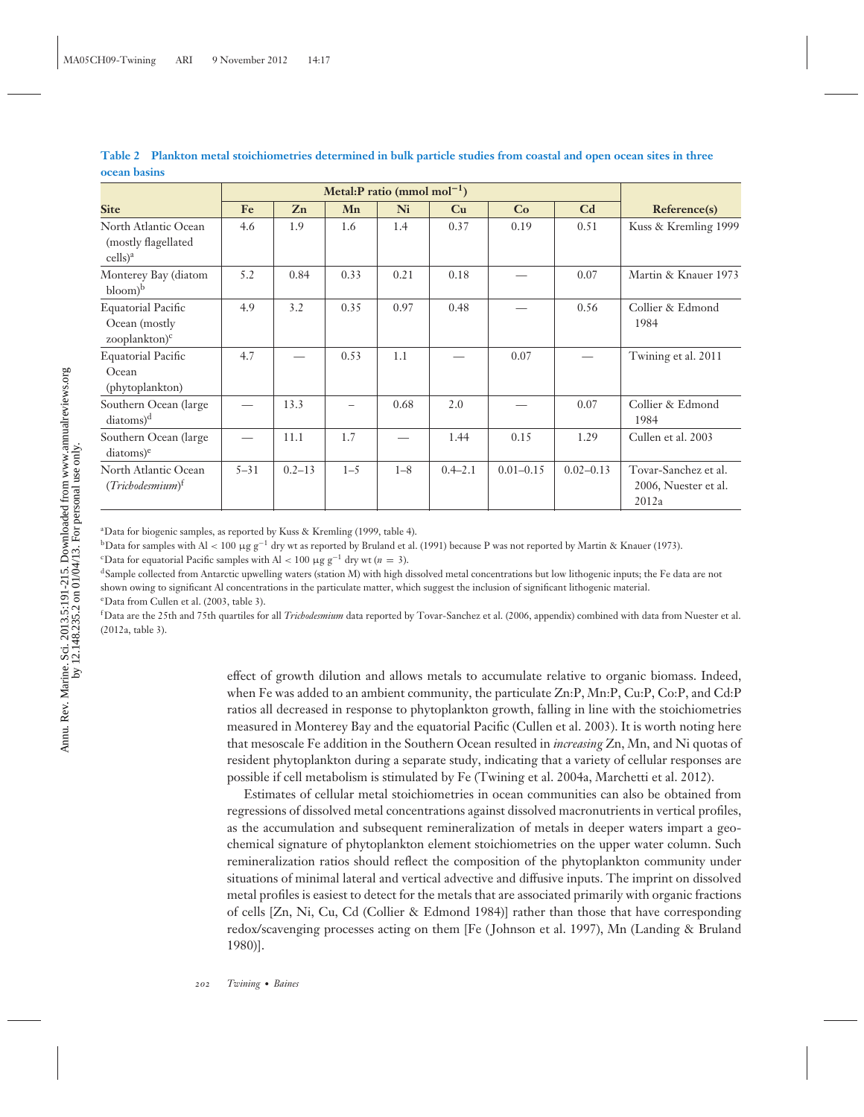| Metal:P ratio (mmol mol <sup>-1</sup> )                                    |          |            |                          |         |             |               |                |                                                       |
|----------------------------------------------------------------------------|----------|------------|--------------------------|---------|-------------|---------------|----------------|-------------------------------------------------------|
| <b>Site</b>                                                                | Fe       | $Z_{n}$    | Mn                       | Ni      | Cu          | Co            | C <sub>d</sub> | Reference(s)                                          |
| North Atlantic Ocean<br>(mostly flagellated<br>$\text{cells})^{\text{a}}$  | 4.6      | 1.9        | 1.6                      | 1.4     | 0.37        | 0.19          | 0.51           | Kuss & Kremling 1999                                  |
| Monterey Bay (diatom<br>$\text{bloom}^{\text{b}}$                          | 5.2      | 0.84       | 0.33                     | 0.21    | 0.18        |               | 0.07           | Martin & Knauer 1973                                  |
| <b>Equatorial Pacific</b><br>Ocean (mostly<br>$z$ ooplankton) <sup>c</sup> | 4.9      | 3.2        | 0.35                     | 0.97    | 0.48        |               | 0.56           | Collier & Edmond<br>1984                              |
| <b>Equatorial Pacific</b><br>Ocean<br>(phytoplankton)                      | 4.7      |            | 0.53                     | 1.1     |             | 0.07          |                | Twining et al. 2011                                   |
| Southern Ocean (large<br>$diatoms$ <sup>d</sup>                            |          | 13.3       | $\overline{\phantom{0}}$ | 0.68    | 2.0         |               | 0.07           | Collier & Edmond<br>1984                              |
| Southern Ocean (large<br>$diatoms$ <sup>e</sup>                            |          | 11.1       | 1.7                      |         | 1.44        | 0.15          | 1.29           | Cullen et al. 2003                                    |
| North Atlantic Ocean<br>$(Trichodesmium)$ <sup>t</sup>                     | $5 - 31$ | $0.2 - 13$ | $1 - 5$                  | $1 - 8$ | $0.4 - 2.1$ | $0.01 - 0.15$ | $0.02 - 0.13$  | Tovar-Sanchez et al.<br>2006, Nuester et al.<br>2012a |

**Table 2 Plankton metal stoichiometries determined in bulk particle studies from coastal and open ocean sites in three ocean basins**

aData for biogenic samples, as reported by Kuss & Kremling (1999, table 4).

bData for samples with Al < 100 μg g−<sup>1</sup> dry wt as reported by Bruland et al. (1991) because P was not reported by Martin & Knauer (1973).

<sup>c</sup>Data for equatorial Pacific samples with Al < 100  $\mu$ g g<sup>-1</sup> dry wt (*n* = 3).

<sup>d</sup>Sample collected from Antarctic upwelling waters (station M) with high dissolved metal concentrations but low lithogenic inputs; the Fe data are not shown owing to significant Al concentrations in the particulate matter, which suggest the inclusion of significant lithogenic material.

eData from Cullen et al. (2003, table 3).

f Data are the 25th and 75th quartiles for all *Trichodesmium* data reported by Tovar-Sanchez et al. (2006, appendix) combined with data from Nuester et al. (2012a, table 3).

> effect of growth dilution and allows metals to accumulate relative to organic biomass. Indeed, when Fe was added to an ambient community, the particulate Zn:P, Mn:P, Cu:P, Co:P, and Cd:P ratios all decreased in response to phytoplankton growth, falling in line with the stoichiometries measured in Monterey Bay and the equatorial Pacific (Cullen et al. 2003). It is worth noting here that mesoscale Fe addition in the Southern Ocean resulted in *increasing* Zn, Mn, and Ni quotas of resident phytoplankton during a separate study, indicating that a variety of cellular responses are possible if cell metabolism is stimulated by Fe (Twining et al. 2004a, Marchetti et al. 2012).

> Estimates of cellular metal stoichiometries in ocean communities can also be obtained from regressions of dissolved metal concentrations against dissolved macronutrients in vertical profiles, as the accumulation and subsequent remineralization of metals in deeper waters impart a geochemical signature of phytoplankton element stoichiometries on the upper water column. Such remineralization ratios should reflect the composition of the phytoplankton community under situations of minimal lateral and vertical advective and diffusive inputs. The imprint on dissolved metal profiles is easiest to detect for the metals that are associated primarily with organic fractions of cells [Zn, Ni, Cu, Cd (Collier & Edmond 1984)] rather than those that have corresponding redox/scavenging processes acting on them [Fe ( Johnson et al. 1997), Mn (Landing & Bruland 1980)].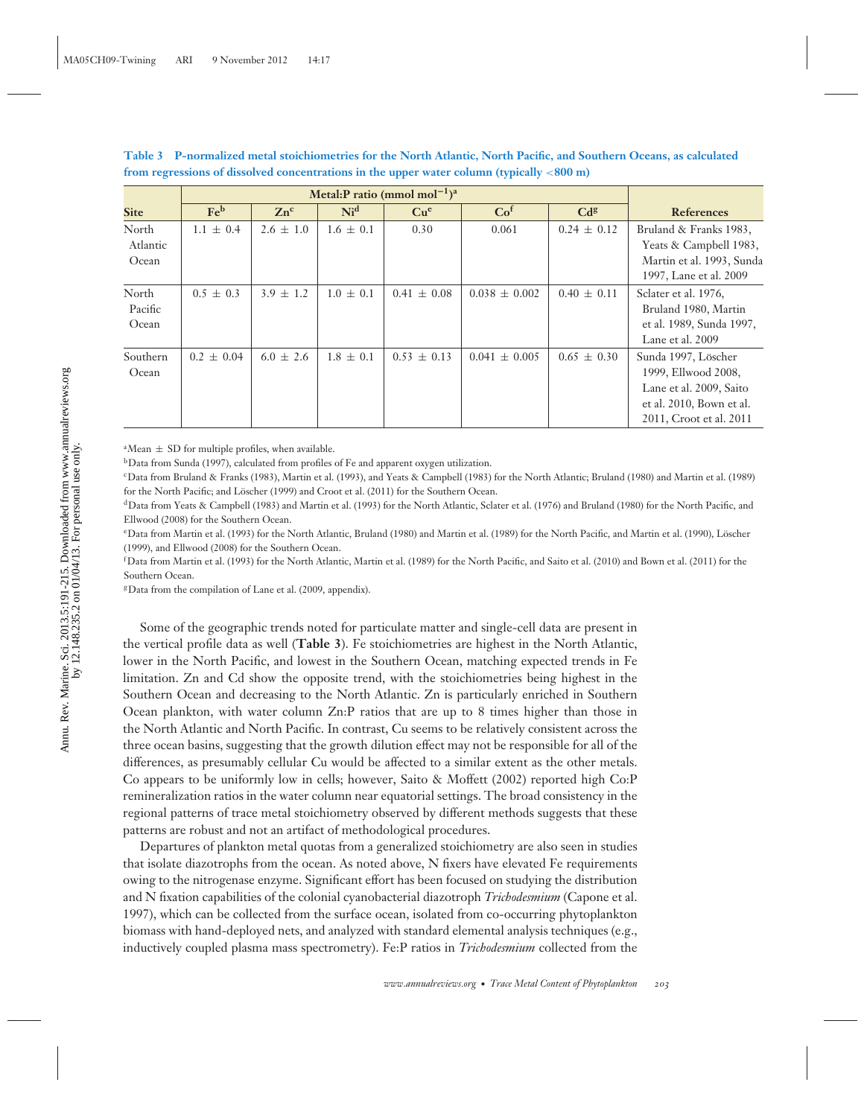|             | Metal:P ratio (mmol mol <sup>-1</sup> ) <sup>a</sup> |               |                 |                 |                   |                 |                           |
|-------------|------------------------------------------------------|---------------|-----------------|-----------------|-------------------|-----------------|---------------------------|
| <b>Site</b> | Fe <sup>b</sup>                                      | $Zn^c$        | Ni <sup>d</sup> | Cu <sup>e</sup> | Co <sup>f</sup>   | Cd <sup>g</sup> | <b>References</b>         |
| North       | $1.1 \pm 0.4$                                        | $2.6 \pm 1.0$ | $1.6 \pm 0.1$   | 0.30            | 0.061             | $0.24 \pm 0.12$ | Bruland & Franks 1983,    |
| Atlantic    |                                                      |               |                 |                 |                   |                 | Yeats & Campbell 1983,    |
| Ocean       |                                                      |               |                 |                 |                   |                 | Martin et al. 1993, Sunda |
|             |                                                      |               |                 |                 |                   |                 | 1997, Lane et al. 2009    |
| North       | $0.5 \pm 0.3$                                        | $3.9 \pm 1.2$ | $1.0 \pm 0.1$   | $0.41 \pm 0.08$ | $0.038 \pm 0.002$ | $0.40 \pm 0.11$ | Sclater et al. 1976,      |
| Pacific     |                                                      |               |                 |                 |                   |                 | Bruland 1980, Martin      |
| Ocean       |                                                      |               |                 |                 |                   |                 | et al. 1989, Sunda 1997,  |
|             |                                                      |               |                 |                 |                   |                 | Lane et al. 2009          |
| Southern    | $0.2 \pm 0.04$                                       | $6.0 \pm 2.6$ | $1.8 \pm 0.1$   | $0.53 \pm 0.13$ | $0.041 + 0.005$   | $0.65 \pm 0.30$ | Sunda 1997, Löscher       |
| Ocean       |                                                      |               |                 |                 |                   |                 | 1999, Ellwood 2008,       |
|             |                                                      |               |                 |                 |                   |                 | Lane et al. 2009, Saito   |
|             |                                                      |               |                 |                 |                   |                 | et al. 2010, Bown et al.  |
|             |                                                      |               |                 |                 |                   |                 | 2011, Croot et al. 2011   |

**Table 3 P-normalized metal stoichiometries for the North Atlantic, North Pacific, and Southern Oceans, as calculated from regressions of dissolved concentrations in the upper water column (typically** <**800 m)**

<sup>a</sup>Mean  $\pm$  SD for multiple profiles, when available.

bData from Sunda (1997), calculated from profiles of Fe and apparent oxygen utilization.

cData from Bruland & Franks (1983), Martin et al. (1993), and Yeats & Campbell (1983) for the North Atlantic; Bruland (1980) and Martin et al. (1989) for the North Pacific; and Löscher (1999) and Croot et al. (2011) for the Southern Ocean.

<sup>d</sup>Data from Yeats & Campbell (1983) and Martin et al. (1993) for the North Atlantic, Sclater et al. (1976) and Bruland (1980) for the North Pacific, and Ellwood (2008) for the Southern Ocean.

eData from Martin et al. (1993) for the North Atlantic, Bruland (1980) and Martin et al. (1989) for the North Pacific, and Martin et al. (1990), Loscher ¨ (1999), and Ellwood (2008) for the Southern Ocean.

f Data from Martin et al. (1993) for the North Atlantic, Martin et al. (1989) for the North Pacific, and Saito et al. (2010) and Bown et al. (2011) for the Southern Ocean.

gData from the compilation of Lane et al. (2009, appendix).

Some of the geographic trends noted for particulate matter and single-cell data are present in the vertical profile data as well (**Table 3**). Fe stoichiometries are highest in the North Atlantic, lower in the North Pacific, and lowest in the Southern Ocean, matching expected trends in Fe limitation. Zn and Cd show the opposite trend, with the stoichiometries being highest in the Southern Ocean and decreasing to the North Atlantic. Zn is particularly enriched in Southern Ocean plankton, with water column Zn:P ratios that are up to 8 times higher than those in the North Atlantic and North Pacific. In contrast, Cu seems to be relatively consistent across the three ocean basins, suggesting that the growth dilution effect may not be responsible for all of the differences, as presumably cellular Cu would be affected to a similar extent as the other metals. Co appears to be uniformly low in cells; however, Saito & Moffett (2002) reported high Co:P remineralization ratios in the water column near equatorial settings. The broad consistency in the regional patterns of trace metal stoichiometry observed by different methods suggests that these patterns are robust and not an artifact of methodological procedures.

Departures of plankton metal quotas from a generalized stoichiometry are also seen in studies that isolate diazotrophs from the ocean. As noted above, N fixers have elevated Fe requirements owing to the nitrogenase enzyme. Significant effort has been focused on studying the distribution and N fixation capabilities of the colonial cyanobacterial diazotroph *Trichodesmium* (Capone et al. 1997), which can be collected from the surface ocean, isolated from co-occurring phytoplankton biomass with hand-deployed nets, and analyzed with standard elemental analysis techniques (e.g., inductively coupled plasma mass spectrometry). Fe:P ratios in *Trichodesmium* collected from the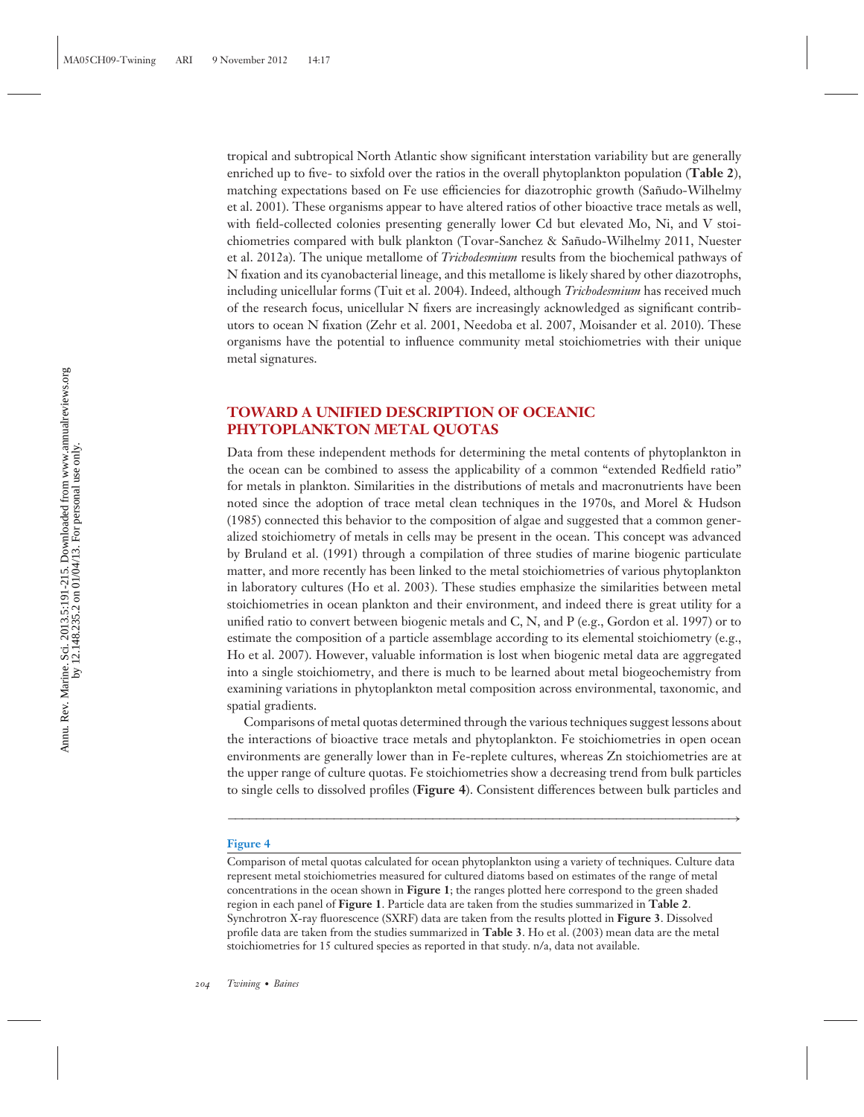tropical and subtropical North Atlantic show significant interstation variability but are generally enriched up to five- to sixfold over the ratios in the overall phytoplankton population (**Table 2**), matching expectations based on Fe use efficiencies for diazotrophic growth (Sañudo-Wilhelmy et al. 2001). These organisms appear to have altered ratios of other bioactive trace metals as well, with field-collected colonies presenting generally lower Cd but elevated Mo, Ni, and V stoichiometries compared with bulk plankton (Tovar-Sanchez & Sañudo-Wilhelmy 2011, Nuester et al. 2012a). The unique metallome of *Trichodesmium* results from the biochemical pathways of N fixation and its cyanobacterial lineage, and this metallome is likely shared by other diazotrophs, including unicellular forms (Tuit et al. 2004). Indeed, although *Trichodesmium* has received much of the research focus, unicellular N fixers are increasingly acknowledged as significant contributors to ocean N fixation (Zehr et al. 2001, Needoba et al. 2007, Moisander et al. 2010). These organisms have the potential to influence community metal stoichiometries with their unique metal signatures.

### **TOWARD A UNIFIED DESCRIPTION OF OCEANIC PHYTOPLANKTON METAL QUOTAS**

Data from these independent methods for determining the metal contents of phytoplankton in the ocean can be combined to assess the applicability of a common "extended Redfield ratio" for metals in plankton. Similarities in the distributions of metals and macronutrients have been noted since the adoption of trace metal clean techniques in the 1970s, and Morel & Hudson (1985) connected this behavior to the composition of algae and suggested that a common generalized stoichiometry of metals in cells may be present in the ocean. This concept was advanced by Bruland et al. (1991) through a compilation of three studies of marine biogenic particulate matter, and more recently has been linked to the metal stoichiometries of various phytoplankton in laboratory cultures (Ho et al. 2003). These studies emphasize the similarities between metal stoichiometries in ocean plankton and their environment, and indeed there is great utility for a unified ratio to convert between biogenic metals and C, N, and P (e.g., Gordon et al. 1997) or to estimate the composition of a particle assemblage according to its elemental stoichiometry (e.g., Ho et al. 2007). However, valuable information is lost when biogenic metal data are aggregated into a single stoichiometry, and there is much to be learned about metal biogeochemistry from examining variations in phytoplankton metal composition across environmental, taxonomic, and spatial gradients.

Comparisons of metal quotas determined through the various techniques suggest lessons about the interactions of bioactive trace metals and phytoplankton. Fe stoichiometries in open ocean environments are generally lower than in Fe-replete cultures, whereas Zn stoichiometries are at the upper range of culture quotas. Fe stoichiometries show a decreasing trend from bulk particles to single cells to dissolved profiles (**Figure 4**). Consistent differences between bulk particles and

−−−−−−−−−−−−−−−−−−−−−−−−−−−−−−−−−−−−−−−−−−−−−−−−−−−−−−−−−−−−−−−−−−−−−−−→

#### **Figure 4**

Comparison of metal quotas calculated for ocean phytoplankton using a variety of techniques. Culture data represent metal stoichiometries measured for cultured diatoms based on estimates of the range of metal concentrations in the ocean shown in **Figure 1**; the ranges plotted here correspond to the green shaded region in each panel of **Figure 1**. Particle data are taken from the studies summarized in **Table 2**. Synchrotron X-ray fluorescence (SXRF) data are taken from the results plotted in **Figure 3**. Dissolved profile data are taken from the studies summarized in **Table 3**. Ho et al. (2003) mean data are the metal stoichiometries for 15 cultured species as reported in that study. n/a, data not available.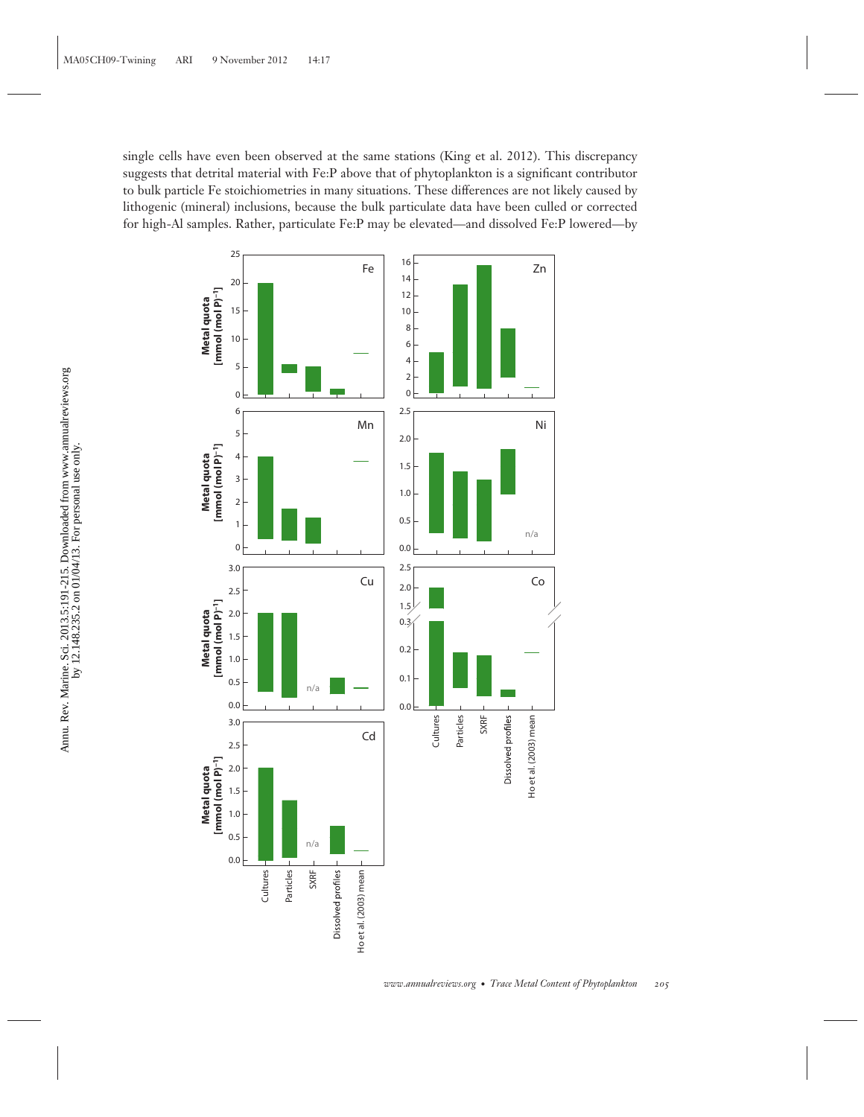single cells have even been observed at the same stations (King et al. 2012). This discrepancy suggests that detrital material with Fe:P above that of phytoplankton is a significant contributor to bulk particle Fe stoichiometries in many situations. These differences are not likely caused by lithogenic (mineral) inclusions, because the bulk particulate data have been culled or corrected for high-Al samples. Rather, particulate Fe:P may be elevated—and dissolved Fe:P lowered—by

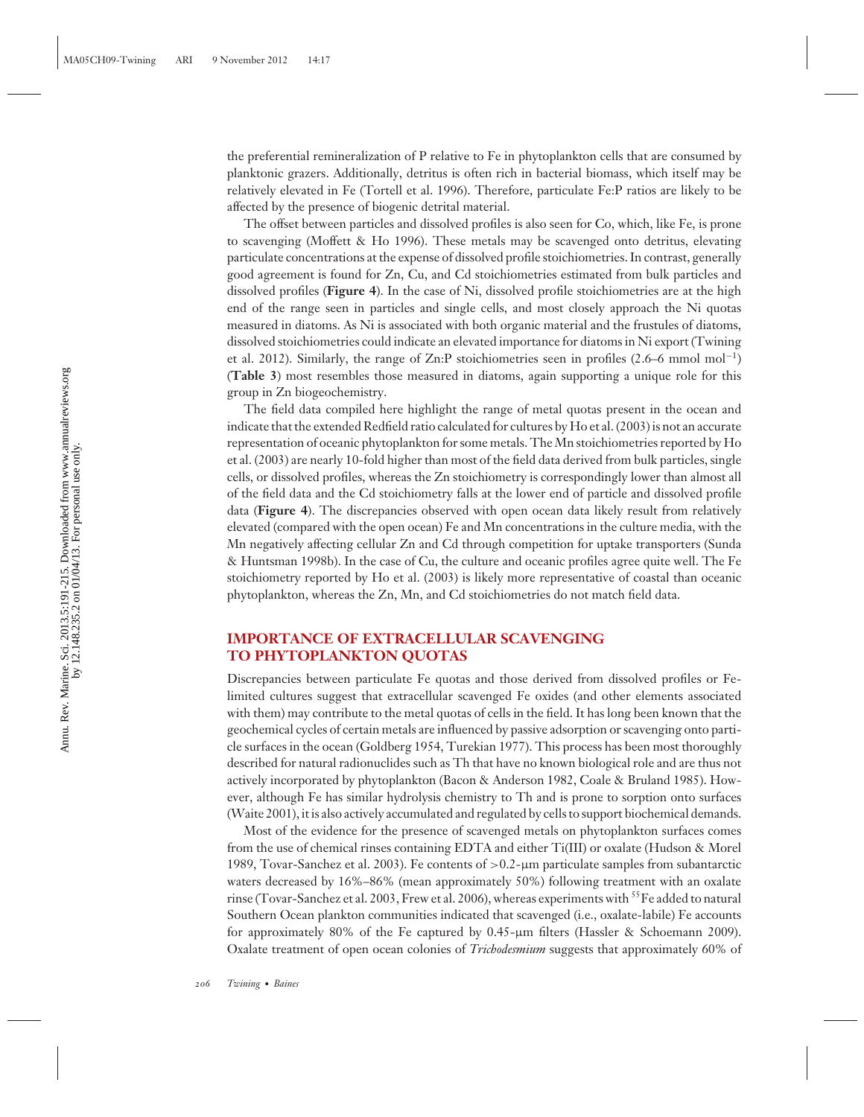the preferential remineralization of P relative to Fe in phytoplankton cells that are consumed by planktonic grazers. Additionally, detritus is often rich in bacterial biomass, which itself may be relatively elevated in Fe (Tortell et al. 1996). Therefore, particulate Fe:P ratios are likely to be affected by the presence of biogenic detrital material.

The offset between particles and dissolved profiles is also seen for Co, which, like Fe, is prone to scavenging (Moffett & Ho 1996). These metals may be scavenged onto detritus, elevating particulate concentrations at the expense of dissolved profile stoichiometries. In contrast, generally good agreement is found for Zn, Cu, and Cd stoichiometries estimated from bulk particles and dissolved profiles (**Figure 4**). In the case of Ni, dissolved profile stoichiometries are at the high end of the range seen in particles and single cells, and most closely approach the Ni quotas measured in diatoms. As Ni is associated with both organic material and the frustules of diatoms, dissolved stoichiometries could indicate an elevated importance for diatoms in Ni export (Twining et al. 2012). Similarly, the range of Zn:P stoichiometries seen in profiles (2.6–6 mmol mol−1) (**Table 3**) most resembles those measured in diatoms, again supporting a unique role for this group in Zn biogeochemistry.

The field data compiled here highlight the range of metal quotas present in the ocean and indicate that the extended Redfield ratio calculated for cultures by Ho et al. (2003) is not an accurate representation of oceanic phytoplankton for some metals. The Mn stoichiometries reported by Ho et al. (2003) are nearly 10-fold higher than most of the field data derived from bulk particles, single cells, or dissolved profiles, whereas the Zn stoichiometry is correspondingly lower than almost all of the field data and the Cd stoichiometry falls at the lower end of particle and dissolved profile data (**Figure 4**). The discrepancies observed with open ocean data likely result from relatively elevated (compared with the open ocean) Fe and Mn concentrations in the culture media, with the Mn negatively affecting cellular Zn and Cd through competition for uptake transporters (Sunda & Huntsman 1998b). In the case of Cu, the culture and oceanic profiles agree quite well. The Fe stoichiometry reported by Ho et al. (2003) is likely more representative of coastal than oceanic phytoplankton, whereas the Zn, Mn, and Cd stoichiometries do not match field data.

### **IMPORTANCE OF EXTRACELLULAR SCAVENGING TO PHYTOPLANKTON QUOTAS**

Discrepancies between particulate Fe quotas and those derived from dissolved profiles or Felimited cultures suggest that extracellular scavenged Fe oxides (and other elements associated with them) may contribute to the metal quotas of cells in the field. It has long been known that the geochemical cycles of certain metals are influenced by passive adsorption or scavenging onto particle surfaces in the ocean (Goldberg 1954, Turekian 1977). This process has been most thoroughly described for natural radionuclides such as Th that have no known biological role and are thus not actively incorporated by phytoplankton (Bacon & Anderson 1982, Coale & Bruland 1985). However, although Fe has similar hydrolysis chemistry to Th and is prone to sorption onto surfaces (Waite 2001), it is also actively accumulated and regulated by cells to support biochemical demands.

Most of the evidence for the presence of scavenged metals on phytoplankton surfaces comes from the use of chemical rinses containing EDTA and either Ti(III) or oxalate (Hudson & Morel 1989, Tovar-Sanchez et al. 2003). Fe contents of >0.2-μm particulate samples from subantarctic waters decreased by 16%–86% (mean approximately 50%) following treatment with an oxalate rinse (Tovar-Sanchez et al. 2003, Frew et al. 2006), whereas experiments with 55Fe added to natural Southern Ocean plankton communities indicated that scavenged (i.e., oxalate-labile) Fe accounts for approximately 80% of the Fe captured by 0.45-μm filters (Hassler & Schoemann 2009). Oxalate treatment of open ocean colonies of *Trichodesmium* suggests that approximately 60% of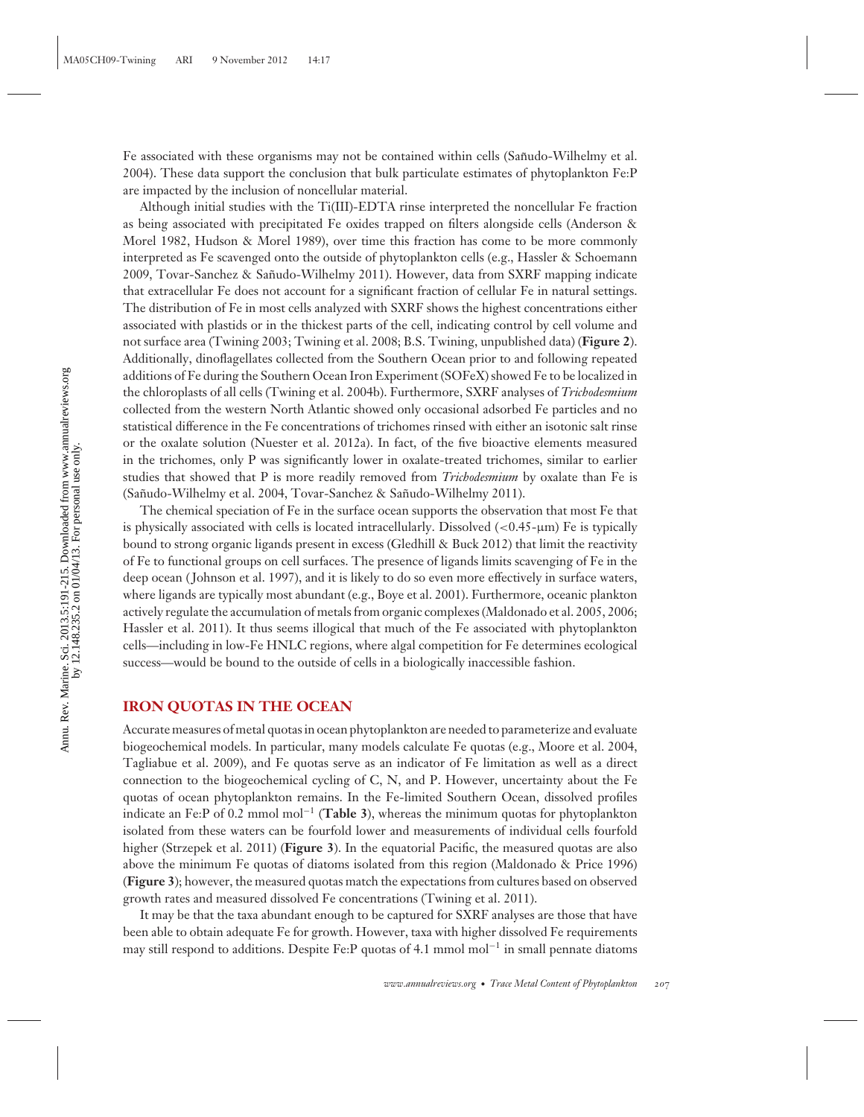Fe associated with these organisms may not be contained within cells (Sañudo-Wilhelmy et al. 2004). These data support the conclusion that bulk particulate estimates of phytoplankton Fe:P are impacted by the inclusion of noncellular material.

Although initial studies with the Ti(III)-EDTA rinse interpreted the noncellular Fe fraction as being associated with precipitated Fe oxides trapped on filters alongside cells (Anderson & Morel 1982, Hudson & Morel 1989), over time this fraction has come to be more commonly interpreted as Fe scavenged onto the outside of phytoplankton cells (e.g., Hassler & Schoemann 2009, Tovar-Sanchez & Sanudo-Wilhelmy 2011). However, data from SXRF mapping indicate ˜ that extracellular Fe does not account for a significant fraction of cellular Fe in natural settings. The distribution of Fe in most cells analyzed with SXRF shows the highest concentrations either associated with plastids or in the thickest parts of the cell, indicating control by cell volume and not surface area (Twining 2003; Twining et al. 2008; B.S. Twining, unpublished data) (**Figure 2**). Additionally, dinoflagellates collected from the Southern Ocean prior to and following repeated additions of Fe during the Southern Ocean Iron Experiment (SOFeX) showed Fe to be localized in the chloroplasts of all cells (Twining et al. 2004b). Furthermore, SXRF analyses of *Trichodesmium* collected from the western North Atlantic showed only occasional adsorbed Fe particles and no statistical difference in the Fe concentrations of trichomes rinsed with either an isotonic salt rinse or the oxalate solution (Nuester et al. 2012a). In fact, of the five bioactive elements measured in the trichomes, only P was significantly lower in oxalate-treated trichomes, similar to earlier studies that showed that P is more readily removed from *Trichodesmium* by oxalate than Fe is (Sañudo-Wilhelmy et al. 2004, Tovar-Sanchez & Sañudo-Wilhelmy 2011).

The chemical speciation of Fe in the surface ocean supports the observation that most Fe that is physically associated with cells is located intracellularly. Dissolved  $\langle$  <0.45- $\mu$ m) Fe is typically bound to strong organic ligands present in excess (Gledhill & Buck 2012) that limit the reactivity of Fe to functional groups on cell surfaces. The presence of ligands limits scavenging of Fe in the deep ocean ( Johnson et al. 1997), and it is likely to do so even more effectively in surface waters, where ligands are typically most abundant (e.g., Boye et al. 2001). Furthermore, oceanic plankton actively regulate the accumulation of metals from organic complexes (Maldonado et al. 2005, 2006; Hassler et al. 2011). It thus seems illogical that much of the Fe associated with phytoplankton cells—including in low-Fe HNLC regions, where algal competition for Fe determines ecological success—would be bound to the outside of cells in a biologically inaccessible fashion.

#### **IRON QUOTAS IN THE OCEAN**

Accurate measures of metal quotas in ocean phytoplankton are needed to parameterize and evaluate biogeochemical models. In particular, many models calculate Fe quotas (e.g., Moore et al. 2004, Tagliabue et al. 2009), and Fe quotas serve as an indicator of Fe limitation as well as a direct connection to the biogeochemical cycling of C, N, and P. However, uncertainty about the Fe quotas of ocean phytoplankton remains. In the Fe-limited Southern Ocean, dissolved profiles indicate an Fe:P of 0.2 mmol mol−<sup>1</sup> (**Table 3**), whereas the minimum quotas for phytoplankton isolated from these waters can be fourfold lower and measurements of individual cells fourfold higher (Strzepek et al. 2011) (**Figure 3**). In the equatorial Pacific, the measured quotas are also above the minimum Fe quotas of diatoms isolated from this region (Maldonado & Price 1996) (**Figure 3**); however, the measured quotas match the expectations from cultures based on observed growth rates and measured dissolved Fe concentrations (Twining et al. 2011).

It may be that the taxa abundant enough to be captured for SXRF analyses are those that have been able to obtain adequate Fe for growth. However, taxa with higher dissolved Fe requirements may still respond to additions. Despite Fe:P quotas of 4.1 mmol mol<sup>-1</sup> in small pennate diatoms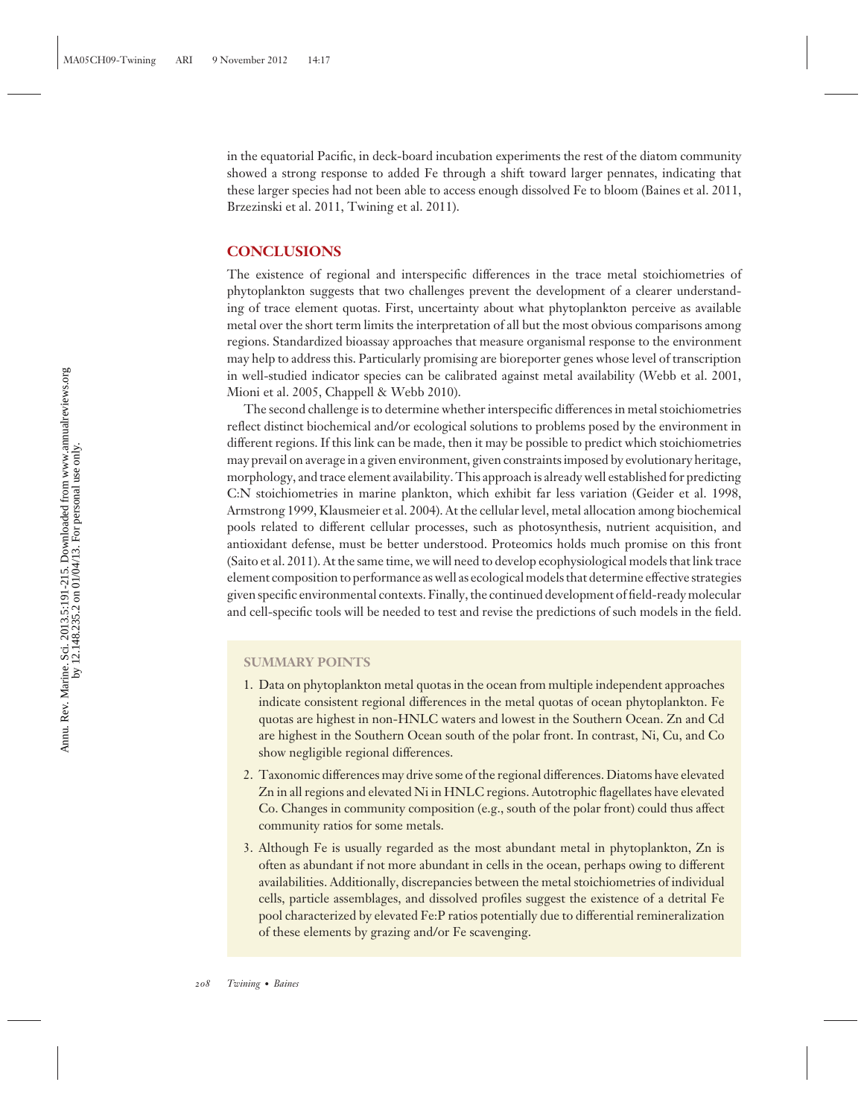in the equatorial Pacific, in deck-board incubation experiments the rest of the diatom community showed a strong response to added Fe through a shift toward larger pennates, indicating that these larger species had not been able to access enough dissolved Fe to bloom (Baines et al. 2011, Brzezinski et al. 2011, Twining et al. 2011).

#### **CONCLUSIONS**

The existence of regional and interspecific differences in the trace metal stoichiometries of phytoplankton suggests that two challenges prevent the development of a clearer understanding of trace element quotas. First, uncertainty about what phytoplankton perceive as available metal over the short term limits the interpretation of all but the most obvious comparisons among regions. Standardized bioassay approaches that measure organismal response to the environment may help to address this. Particularly promising are bioreporter genes whose level of transcription in well-studied indicator species can be calibrated against metal availability (Webb et al. 2001, Mioni et al. 2005, Chappell & Webb 2010).

The second challenge is to determine whether interspecific differences in metal stoichiometries reflect distinct biochemical and/or ecological solutions to problems posed by the environment in different regions. If this link can be made, then it may be possible to predict which stoichiometries may prevail on average in a given environment, given constraints imposed by evolutionary heritage, morphology, and trace element availability. This approach is already well established for predicting C:N stoichiometries in marine plankton, which exhibit far less variation (Geider et al. 1998, Armstrong 1999, Klausmeier et al. 2004). At the cellular level, metal allocation among biochemical pools related to different cellular processes, such as photosynthesis, nutrient acquisition, and antioxidant defense, must be better understood. Proteomics holds much promise on this front (Saito et al. 2011). At the same time, we will need to develop ecophysiological models that link trace element composition to performance as well as ecological models that determine effective strategies given specific environmental contexts. Finally, the continued development of field-ready molecular and cell-specific tools will be needed to test and revise the predictions of such models in the field.

#### **SUMMARY POINTS**

- 1. Data on phytoplankton metal quotas in the ocean from multiple independent approaches indicate consistent regional differences in the metal quotas of ocean phytoplankton. Fe quotas are highest in non-HNLC waters and lowest in the Southern Ocean. Zn and Cd are highest in the Southern Ocean south of the polar front. In contrast, Ni, Cu, and Co show negligible regional differences.
- 2. Taxonomic differences may drive some of the regional differences. Diatoms have elevated Zn in all regions and elevated Ni in HNLC regions. Autotrophic flagellates have elevated Co. Changes in community composition (e.g., south of the polar front) could thus affect community ratios for some metals.
- 3. Although Fe is usually regarded as the most abundant metal in phytoplankton, Zn is often as abundant if not more abundant in cells in the ocean, perhaps owing to different availabilities. Additionally, discrepancies between the metal stoichiometries of individual cells, particle assemblages, and dissolved profiles suggest the existence of a detrital Fe pool characterized by elevated Fe:P ratios potentially due to differential remineralization of these elements by grazing and/or Fe scavenging.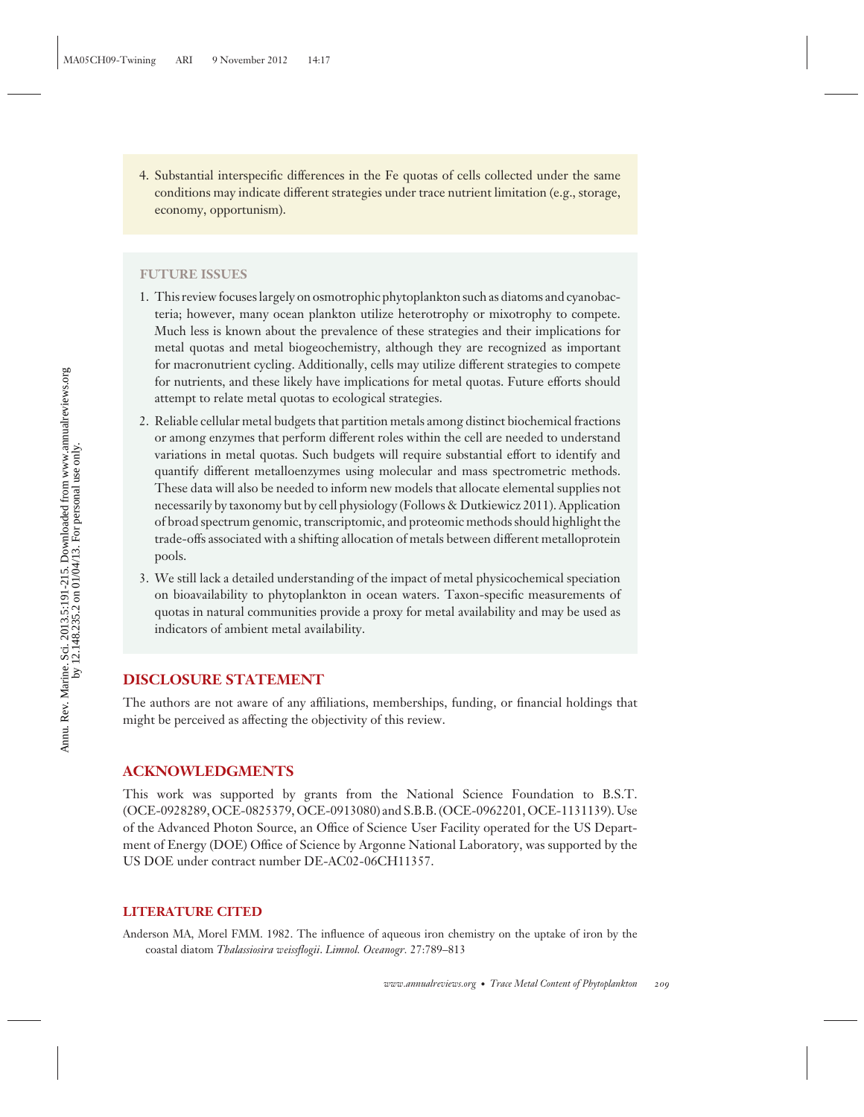4. Substantial interspecific differences in the Fe quotas of cells collected under the same conditions may indicate different strategies under trace nutrient limitation (e.g., storage, economy, opportunism).

#### **FUTURE ISSUES**

- 1. This review focuses largely on osmotrophic phytoplankton such as diatoms and cyanobacteria; however, many ocean plankton utilize heterotrophy or mixotrophy to compete. Much less is known about the prevalence of these strategies and their implications for metal quotas and metal biogeochemistry, although they are recognized as important for macronutrient cycling. Additionally, cells may utilize different strategies to compete for nutrients, and these likely have implications for metal quotas. Future efforts should attempt to relate metal quotas to ecological strategies.
- 2. Reliable cellular metal budgets that partition metals among distinct biochemical fractions or among enzymes that perform different roles within the cell are needed to understand variations in metal quotas. Such budgets will require substantial effort to identify and quantify different metalloenzymes using molecular and mass spectrometric methods. These data will also be needed to inform new models that allocate elemental supplies not necessarily by taxonomy but by cell physiology (Follows & Dutkiewicz 2011). Application of broad spectrum genomic, transcriptomic, and proteomic methods should highlight the trade-offs associated with a shifting allocation of metals between different metalloprotein pools.
- 3. We still lack a detailed understanding of the impact of metal physicochemical speciation on bioavailability to phytoplankton in ocean waters. Taxon-specific measurements of quotas in natural communities provide a proxy for metal availability and may be used as indicators of ambient metal availability.

#### **DISCLOSURE STATEMENT**

The authors are not aware of any affiliations, memberships, funding, or financial holdings that might be perceived as affecting the objectivity of this review.

## **ACKNOWLEDGMENTS**

This work was supported by grants from the National Science Foundation to B.S.T. (OCE-0928289, OCE-0825379, OCE-0913080) and S.B.B. (OCE-0962201, OCE-1131139). Use of the Advanced Photon Source, an Office of Science User Facility operated for the US Department of Energy (DOE) Office of Science by Argonne National Laboratory, was supported by the US DOE under contract number DE-AC02-06CH11357.

#### **LITERATURE CITED**

Anderson MA, Morel FMM. 1982. The influence of aqueous iron chemistry on the uptake of iron by the coastal diatom *Thalassiosira weissflogii*. *Limnol. Oceanogr.* 27:789–813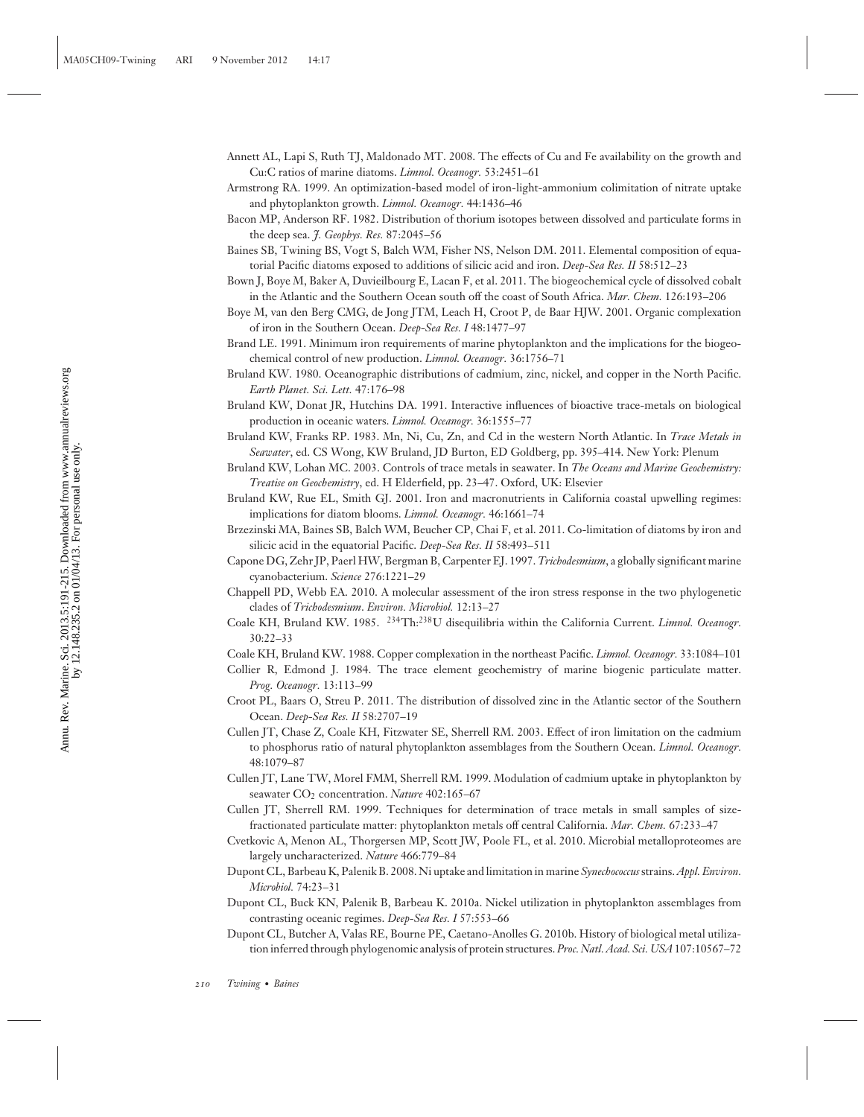- Annett AL, Lapi S, Ruth TJ, Maldonado MT. 2008. The effects of Cu and Fe availability on the growth and Cu:C ratios of marine diatoms. *Limnol. Oceanogr.* 53:2451–61
- Armstrong RA. 1999. An optimization-based model of iron-light-ammonium colimitation of nitrate uptake and phytoplankton growth. *Limnol. Oceanogr.* 44:1436–46
- Bacon MP, Anderson RF. 1982. Distribution of thorium isotopes between dissolved and particulate forms in the deep sea. *J. Geophys. Res.* 87:2045–56
- Baines SB, Twining BS, Vogt S, Balch WM, Fisher NS, Nelson DM. 2011. Elemental composition of equatorial Pacific diatoms exposed to additions of silicic acid and iron. *Deep-Sea Res. II* 58:512–23
- Bown J, Boye M, Baker A, Duvieilbourg E, Lacan F, et al. 2011. The biogeochemical cycle of dissolved cobalt in the Atlantic and the Southern Ocean south off the coast of South Africa. *Mar. Chem.* 126:193–206
- Boye M, van den Berg CMG, de Jong JTM, Leach H, Croot P, de Baar HJW. 2001. Organic complexation of iron in the Southern Ocean. *Deep-Sea Res. I* 48:1477–97
- Brand LE. 1991. Minimum iron requirements of marine phytoplankton and the implications for the biogeochemical control of new production. *Limnol. Oceanogr.* 36:1756–71
- Bruland KW. 1980. Oceanographic distributions of cadmium, zinc, nickel, and copper in the North Pacific. *Earth Planet. Sci. Lett.* 47:176–98
- Bruland KW, Donat JR, Hutchins DA. 1991. Interactive influences of bioactive trace-metals on biological production in oceanic waters. *Limnol. Oceanogr.* 36:1555–77
- Bruland KW, Franks RP. 1983. Mn, Ni, Cu, Zn, and Cd in the western North Atlantic. In *Trace Metals in Seawater*, ed. CS Wong, KW Bruland, JD Burton, ED Goldberg, pp. 395–414. New York: Plenum
- Bruland KW, Lohan MC. 2003. Controls of trace metals in seawater. In *The Oceans and Marine Geochemistry: Treatise on Geochemistry*, ed. H Elderfield, pp. 23–47. Oxford, UK: Elsevier
- Bruland KW, Rue EL, Smith GJ. 2001. Iron and macronutrients in California coastal upwelling regimes: implications for diatom blooms. *Limnol. Oceanogr.* 46:1661–74
- Brzezinski MA, Baines SB, Balch WM, Beucher CP, Chai F, et al. 2011. Co-limitation of diatoms by iron and silicic acid in the equatorial Pacific. *Deep-Sea Res. II* 58:493–511
- Capone DG, Zehr JP, Paerl HW, Bergman B, Carpenter EJ. 1997. *Trichodesmium*, a globally significant marine cyanobacterium. *Science* 276:1221–29
- Chappell PD, Webb EA. 2010. A molecular assessment of the iron stress response in the two phylogenetic clades of *Trichodesmium*. *Environ. Microbiol.* 12:13–27
- Coale KH, Bruland KW. 1985. 234Th:238U disequilibria within the California Current. *Limnol. Oceanogr.* 30:22–33
- Coale KH, Bruland KW. 1988. Copper complexation in the northeast Pacific. *Limnol. Oceanogr.* 33:1084–101
- Collier R, Edmond J. 1984. The trace element geochemistry of marine biogenic particulate matter. *Prog. Oceanogr.* 13:113–99
- Croot PL, Baars O, Streu P. 2011. The distribution of dissolved zinc in the Atlantic sector of the Southern Ocean. *Deep-Sea Res. II* 58:2707–19
- Cullen JT, Chase Z, Coale KH, Fitzwater SE, Sherrell RM. 2003. Effect of iron limitation on the cadmium to phosphorus ratio of natural phytoplankton assemblages from the Southern Ocean. *Limnol. Oceanogr.* 48:1079–87
- Cullen JT, Lane TW, Morel FMM, Sherrell RM. 1999. Modulation of cadmium uptake in phytoplankton by seawater CO<sub>2</sub> concentration. *Nature* 402:165-67
- Cullen JT, Sherrell RM. 1999. Techniques for determination of trace metals in small samples of sizefractionated particulate matter: phytoplankton metals off central California. *Mar. Chem.* 67:233–47
- Cvetkovic A, Menon AL, Thorgersen MP, Scott JW, Poole FL, et al. 2010. Microbial metalloproteomes are largely uncharacterized. *Nature* 466:779–84
- Dupont CL, Barbeau K, Palenik B. 2008. Ni uptake and limitation in marine *Synechococcus*strains.*Appl. Environ. Microbiol.* 74:23–31
- Dupont CL, Buck KN, Palenik B, Barbeau K. 2010a. Nickel utilization in phytoplankton assemblages from contrasting oceanic regimes. *Deep-Sea Res. I* 57:553–66
- Dupont CL, Butcher A, Valas RE, Bourne PE, Caetano-Anolles G. 2010b. History of biological metal utilization inferred through phylogenomic analysis of protein structures. *Proc. Natl. Acad. Sci. USA*107:10567–72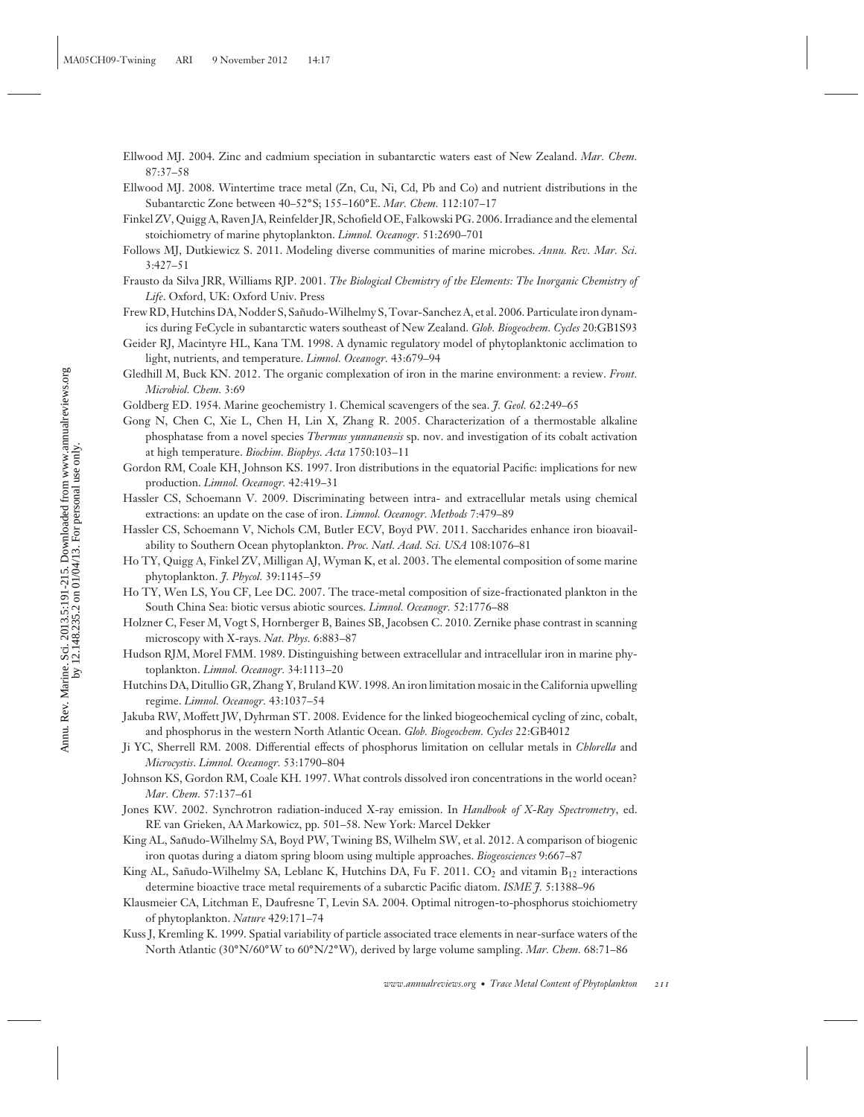- Ellwood MJ. 2004. Zinc and cadmium speciation in subantarctic waters east of New Zealand. *Mar. Chem.* 87:37–58
- Ellwood MJ. 2008. Wintertime trace metal (Zn, Cu, Ni, Cd, Pb and Co) and nutrient distributions in the Subantarctic Zone between 40–52**◦**S; 155–160**◦**E. *Mar. Chem.* 112:107–17
- Finkel ZV, Quigg A, Raven JA, Reinfelder JR, Schofield OE, Falkowski PG. 2006. Irradiance and the elemental stoichiometry of marine phytoplankton. *Limnol. Oceanogr.* 51:2690–701
- Follows MJ, Dutkiewicz S. 2011. Modeling diverse communities of marine microbes. *Annu. Rev. Mar. Sci.* 3:427–51
- Frausto da Silva JRR, Williams RJP. 2001. *The Biological Chemistry of the Elements: The Inorganic Chemistry of Life*. Oxford, UK: Oxford Univ. Press
- Frew RD, Hutchins DA, Nodder S, Sañudo-Wilhelmy S, Tovar-Sanchez A, et al. 2006. Particulate iron dynamics during FeCycle in subantarctic waters southeast of New Zealand. *Glob. Biogeochem. Cycles* 20:GB1S93
- Geider RJ, Macintyre HL, Kana TM. 1998. A dynamic regulatory model of phytoplanktonic acclimation to light, nutrients, and temperature. *Limnol. Oceanogr.* 43:679–94
- Gledhill M, Buck KN. 2012. The organic complexation of iron in the marine environment: a review. *Front. Microbiol. Chem.* 3:69
- Goldberg ED. 1954. Marine geochemistry 1. Chemical scavengers of the sea. *J. Geol.* 62:249–65
- Gong N, Chen C, Xie L, Chen H, Lin X, Zhang R. 2005. Characterization of a thermostable alkaline phosphatase from a novel species *Thermus yunnanensis* sp. nov. and investigation of its cobalt activation at high temperature. *Biochim. Biophys. Acta* 1750:103–11
- Gordon RM, Coale KH, Johnson KS. 1997. Iron distributions in the equatorial Pacific: implications for new production. *Limnol. Oceanogr.* 42:419–31
- Hassler CS, Schoemann V. 2009. Discriminating between intra- and extracellular metals using chemical extractions: an update on the case of iron. *Limnol. Oceanogr. Methods* 7:479–89
- Hassler CS, Schoemann V, Nichols CM, Butler ECV, Boyd PW. 2011. Saccharides enhance iron bioavailability to Southern Ocean phytoplankton. *Proc. Natl. Acad. Sci. USA* 108:1076–81
- Ho TY, Quigg A, Finkel ZV, Milligan AJ, Wyman K, et al. 2003. The elemental composition of some marine phytoplankton. *J. Phycol.* 39:1145–59
- Ho TY, Wen LS, You CF, Lee DC. 2007. The trace-metal composition of size-fractionated plankton in the South China Sea: biotic versus abiotic sources. *Limnol. Oceanogr.* 52:1776–88
- Holzner C, Feser M, Vogt S, Hornberger B, Baines SB, Jacobsen C. 2010. Zernike phase contrast in scanning microscopy with X-rays. *Nat. Phys.* 6:883–87
- Hudson RJM, Morel FMM. 1989. Distinguishing between extracellular and intracellular iron in marine phytoplankton. *Limnol. Oceanogr.* 34:1113–20
- Hutchins DA, Ditullio GR, Zhang Y, Bruland KW. 1998. An iron limitation mosaic in the California upwelling regime. *Limnol. Oceanogr.* 43:1037–54
- Jakuba RW, Moffett JW, Dyhrman ST. 2008. Evidence for the linked biogeochemical cycling of zinc, cobalt, and phosphorus in the western North Atlantic Ocean. *Glob. Biogeochem. Cycles* 22:GB4012
- Ji YC, Sherrell RM. 2008. Differential effects of phosphorus limitation on cellular metals in *Chlorella* and *Microcystis*. *Limnol. Oceanogr.* 53:1790–804
- Johnson KS, Gordon RM, Coale KH. 1997. What controls dissolved iron concentrations in the world ocean? *Mar. Chem.* 57:137–61
- Jones KW. 2002. Synchrotron radiation-induced X-ray emission. In *Handbook of X-Ray Spectrometry*, ed. RE van Grieken, AA Markowicz, pp. 501–58. New York: Marcel Dekker
- King AL, Sañudo-Wilhelmy SA, Boyd PW, Twining BS, Wilhelm SW, et al. 2012. A comparison of biogenic iron quotas during a diatom spring bloom using multiple approaches. *Biogeosciences* 9:667–87
- King AL, Sañudo-Wilhelmy SA, Leblanc K, Hutchins DA, Fu F. 2011.  $CO<sub>2</sub>$  and vitamin B<sub>12</sub> interactions determine bioactive trace metal requirements of a subarctic Pacific diatom. *ISME J.* 5:1388–96
- Klausmeier CA, Litchman E, Daufresne T, Levin SA. 2004. Optimal nitrogen-to-phosphorus stoichiometry of phytoplankton. *Nature* 429:171–74
- Kuss J, Kremling K. 1999. Spatial variability of particle associated trace elements in near-surface waters of the North Atlantic (30**◦**N/60**◦**W to 60**◦**N/2**◦**W), derived by large volume sampling. *Mar. Chem.* 68:71–86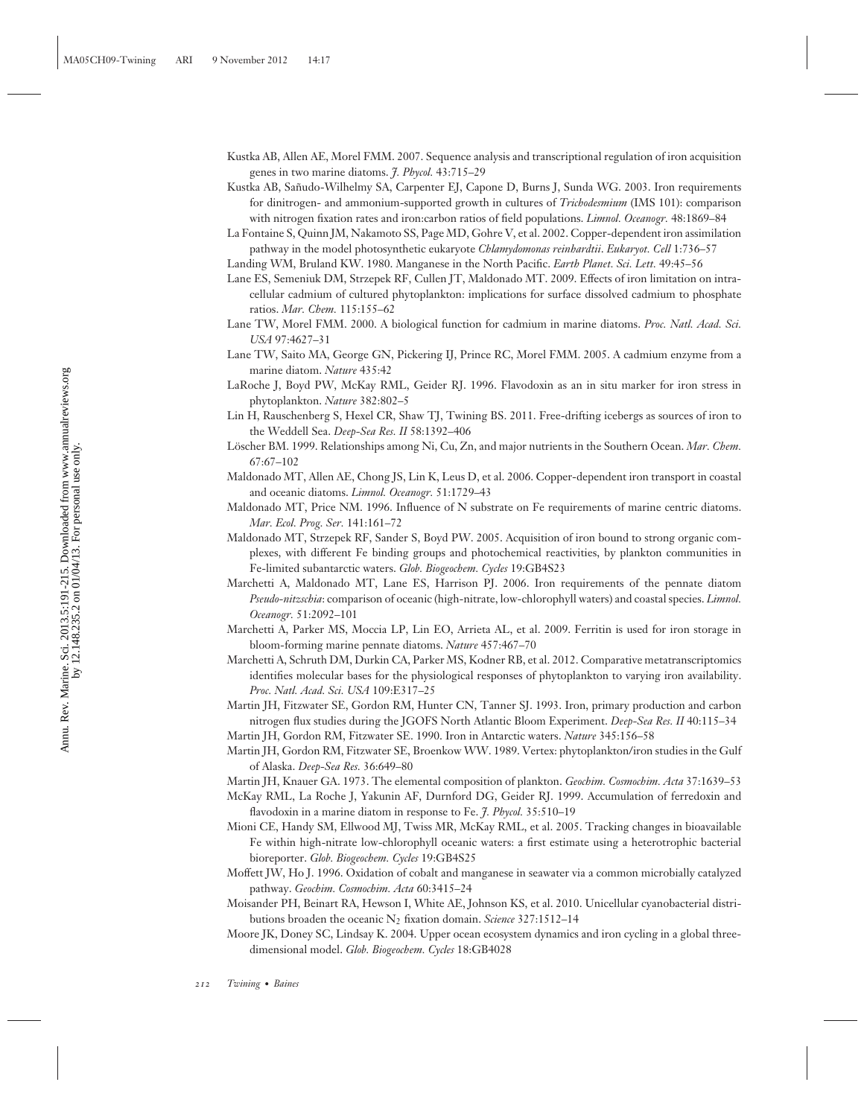- Kustka AB, Allen AE, Morel FMM. 2007. Sequence analysis and transcriptional regulation of iron acquisition genes in two marine diatoms. *J. Phycol.* 43:715–29
- Kustka AB, Sañudo-Wilhelmy SA, Carpenter EJ, Capone D, Burns J, Sunda WG. 2003. Iron requirements for dinitrogen- and ammonium-supported growth in cultures of *Trichodesmium* (IMS 101): comparison with nitrogen fixation rates and iron:carbon ratios of field populations. *Limnol. Oceanogr.* 48:1869–84
- La Fontaine S, Quinn JM, Nakamoto SS, Page MD, Gohre V, et al. 2002. Copper-dependent iron assimilation pathway in the model photosynthetic eukaryote *Chlamydomonas reinhardtii*. *Eukaryot. Cell* 1:736–57
- Landing WM, Bruland KW. 1980. Manganese in the North Pacific. *Earth Planet. Sci. Lett.* 49:45–56
- Lane ES, Semeniuk DM, Strzepek RF, Cullen JT, Maldonado MT. 2009. Effects of iron limitation on intracellular cadmium of cultured phytoplankton: implications for surface dissolved cadmium to phosphate ratios. *Mar. Chem.* 115:155–62
- Lane TW, Morel FMM. 2000. A biological function for cadmium in marine diatoms. *Proc. Natl. Acad. Sci. USA* 97:4627–31
- Lane TW, Saito MA, George GN, Pickering IJ, Prince RC, Morel FMM. 2005. A cadmium enzyme from a marine diatom. *Nature* 435:42
- LaRoche J, Boyd PW, McKay RML, Geider RJ. 1996. Flavodoxin as an in situ marker for iron stress in phytoplankton. *Nature* 382:802–5
- Lin H, Rauschenberg S, Hexel CR, Shaw TJ, Twining BS. 2011. Free-drifting icebergs as sources of iron to the Weddell Sea. *Deep-Sea Res. II* 58:1392–406
- Löscher BM. 1999. Relationships among Ni, Cu, Zn, and major nutrients in the Southern Ocean. Mar. Chem. 67:67–102
- Maldonado MT, Allen AE, Chong JS, Lin K, Leus D, et al. 2006. Copper-dependent iron transport in coastal and oceanic diatoms. *Limnol. Oceanogr.* 51:1729–43
- Maldonado MT, Price NM. 1996. Influence of N substrate on Fe requirements of marine centric diatoms. *Mar. Ecol. Prog. Ser.* 141:161–72
- Maldonado MT, Strzepek RF, Sander S, Boyd PW. 2005. Acquisition of iron bound to strong organic complexes, with different Fe binding groups and photochemical reactivities, by plankton communities in Fe-limited subantarctic waters. *Glob. Biogeochem. Cycles* 19:GB4S23
- Marchetti A, Maldonado MT, Lane ES, Harrison PJ. 2006. Iron requirements of the pennate diatom *Pseudo-nitzschia*: comparison of oceanic (high-nitrate, low-chlorophyll waters) and coastal species. *Limnol. Oceanogr.* 51:2092–101
- Marchetti A, Parker MS, Moccia LP, Lin EO, Arrieta AL, et al. 2009. Ferritin is used for iron storage in bloom-forming marine pennate diatoms. *Nature* 457:467–70
- Marchetti A, Schruth DM, Durkin CA, Parker MS, Kodner RB, et al. 2012. Comparative metatranscriptomics identifies molecular bases for the physiological responses of phytoplankton to varying iron availability. *Proc. Natl. Acad. Sci. USA* 109:E317–25
- Martin JH, Fitzwater SE, Gordon RM, Hunter CN, Tanner SJ. 1993. Iron, primary production and carbon nitrogen flux studies during the JGOFS North Atlantic Bloom Experiment. *Deep-Sea Res. II* 40:115–34
- Martin JH, Gordon RM, Fitzwater SE. 1990. Iron in Antarctic waters. *Nature* 345:156–58
- Martin JH, Gordon RM, Fitzwater SE, Broenkow WW. 1989. Vertex: phytoplankton/iron studies in the Gulf of Alaska. *Deep-Sea Res.* 36:649–80
- Martin JH, Knauer GA. 1973. The elemental composition of plankton. *Geochim. Cosmochim. Acta* 37:1639–53
- McKay RML, La Roche J, Yakunin AF, Durnford DG, Geider RJ. 1999. Accumulation of ferredoxin and flavodoxin in a marine diatom in response to Fe. *J. Phycol.* 35:510–19
- Mioni CE, Handy SM, Ellwood MJ, Twiss MR, McKay RML, et al. 2005. Tracking changes in bioavailable Fe within high-nitrate low-chlorophyll oceanic waters: a first estimate using a heterotrophic bacterial bioreporter. *Glob. Biogeochem. Cycles* 19:GB4S25
- Moffett JW, Ho J. 1996. Oxidation of cobalt and manganese in seawater via a common microbially catalyzed pathway. *Geochim. Cosmochim. Acta* 60:3415–24
- Moisander PH, Beinart RA, Hewson I, White AE, Johnson KS, et al. 2010. Unicellular cyanobacterial distributions broaden the oceanic N2 fixation domain. *Science* 327:1512–14
- Moore JK, Doney SC, Lindsay K. 2004. Upper ocean ecosystem dynamics and iron cycling in a global threedimensional model. *Glob. Biogeochem. Cycles* 18:GB4028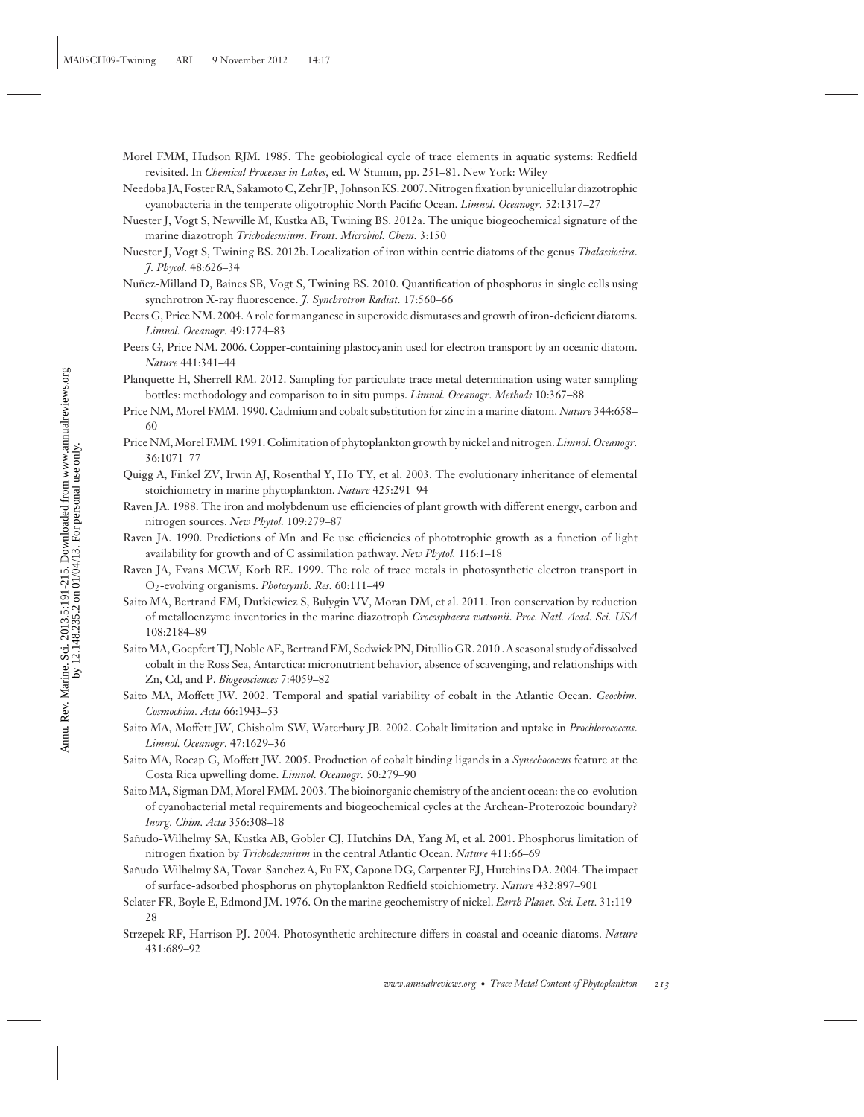- Morel FMM, Hudson RJM. 1985. The geobiological cycle of trace elements in aquatic systems: Redfield revisited. In *Chemical Processes in Lakes*, ed. W Stumm, pp. 251–81. New York: Wiley
- Needoba JA, Foster RA, Sakamoto C, Zehr JP, Johnson KS. 2007. Nitrogen fixation by unicellular diazotrophic cyanobacteria in the temperate oligotrophic North Pacific Ocean. *Limnol. Oceanogr.* 52:1317–27
- Nuester J, Vogt S, Newville M, Kustka AB, Twining BS. 2012a. The unique biogeochemical signature of the marine diazotroph *Trichodesmium*. *Front. Microbiol. Chem.* 3:150
- Nuester J, Vogt S, Twining BS. 2012b. Localization of iron within centric diatoms of the genus *Thalassiosira*. *J. Phycol.* 48:626–34
- Nuñez-Milland D, Baines SB, Vogt S, Twining BS. 2010. Quantification of phosphorus in single cells using synchrotron X-ray fluorescence. *J. Synchrotron Radiat.* 17:560–66
- Peers G, Price NM. 2004. A role for manganese in superoxide dismutases and growth of iron-deficient diatoms. *Limnol. Oceanogr.* 49:1774–83
- Peers G, Price NM. 2006. Copper-containing plastocyanin used for electron transport by an oceanic diatom. *Nature* 441:341–44
- Planquette H, Sherrell RM. 2012. Sampling for particulate trace metal determination using water sampling bottles: methodology and comparison to in situ pumps. *Limnol. Oceanogr. Methods* 10:367–88
- Price NM, Morel FMM. 1990. Cadmium and cobalt substitution for zinc in a marine diatom. *Nature* 344:658– 60
- Price NM, Morel FMM. 1991. Colimitation of phytoplankton growth by nickel and nitrogen. *Limnol. Oceanogr.* 36:1071–77
- Quigg A, Finkel ZV, Irwin AJ, Rosenthal Y, Ho TY, et al. 2003. The evolutionary inheritance of elemental stoichiometry in marine phytoplankton. *Nature* 425:291–94
- Raven JA. 1988. The iron and molybdenum use efficiencies of plant growth with different energy, carbon and nitrogen sources. *New Phytol.* 109:279–87
- Raven JA. 1990. Predictions of Mn and Fe use efficiencies of phototrophic growth as a function of light availability for growth and of C assimilation pathway. *New Phytol.* 116:1–18
- Raven JA, Evans MCW, Korb RE. 1999. The role of trace metals in photosynthetic electron transport in O2-evolving organisms. *Photosynth. Res.* 60:111–49
- Saito MA, Bertrand EM, Dutkiewicz S, Bulygin VV, Moran DM, et al. 2011. Iron conservation by reduction of metalloenzyme inventories in the marine diazotroph *Crocosphaera watsonii*. *Proc. Natl. Acad. Sci. USA* 108:2184–89
- Saito MA, Goepfert TJ, Noble AE, Bertrand EM, Sedwick PN, Ditullio GR. 2010 . A seasonal study of dissolved cobalt in the Ross Sea, Antarctica: micronutrient behavior, absence of scavenging, and relationships with Zn, Cd, and P. *Biogeosciences* 7:4059–82
- Saito MA, Moffett JW. 2002. Temporal and spatial variability of cobalt in the Atlantic Ocean. *Geochim. Cosmochim. Acta* 66:1943–53
- Saito MA, Moffett JW, Chisholm SW, Waterbury JB. 2002. Cobalt limitation and uptake in *Prochlorococcus*. *Limnol. Oceanogr.* 47:1629–36
- Saito MA, Rocap G, Moffett JW. 2005. Production of cobalt binding ligands in a *Synechococcus* feature at the Costa Rica upwelling dome. *Limnol. Oceanogr.* 50:279–90
- Saito MA, Sigman DM, Morel FMM. 2003. The bioinorganic chemistry of the ancient ocean: the co-evolution of cyanobacterial metal requirements and biogeochemical cycles at the Archean-Proterozoic boundary? *Inorg. Chim. Acta* 356:308–18
- Sañudo-Wilhelmy SA, Kustka AB, Gobler CJ, Hutchins DA, Yang M, et al. 2001. Phosphorus limitation of nitrogen fixation by *Trichodesmium* in the central Atlantic Ocean. *Nature* 411:66–69
- Sañudo-Wilhelmy SA, Tovar-Sanchez A, Fu FX, Capone DG, Carpenter EJ, Hutchins DA. 2004. The impact of surface-adsorbed phosphorus on phytoplankton Redfield stoichiometry. *Nature* 432:897–901
- Sclater FR, Boyle E, Edmond JM. 1976. On the marine geochemistry of nickel. *Earth Planet. Sci. Lett.* 31:119– 28
- Strzepek RF, Harrison PJ. 2004. Photosynthetic architecture differs in coastal and oceanic diatoms. *Nature* 431:689–92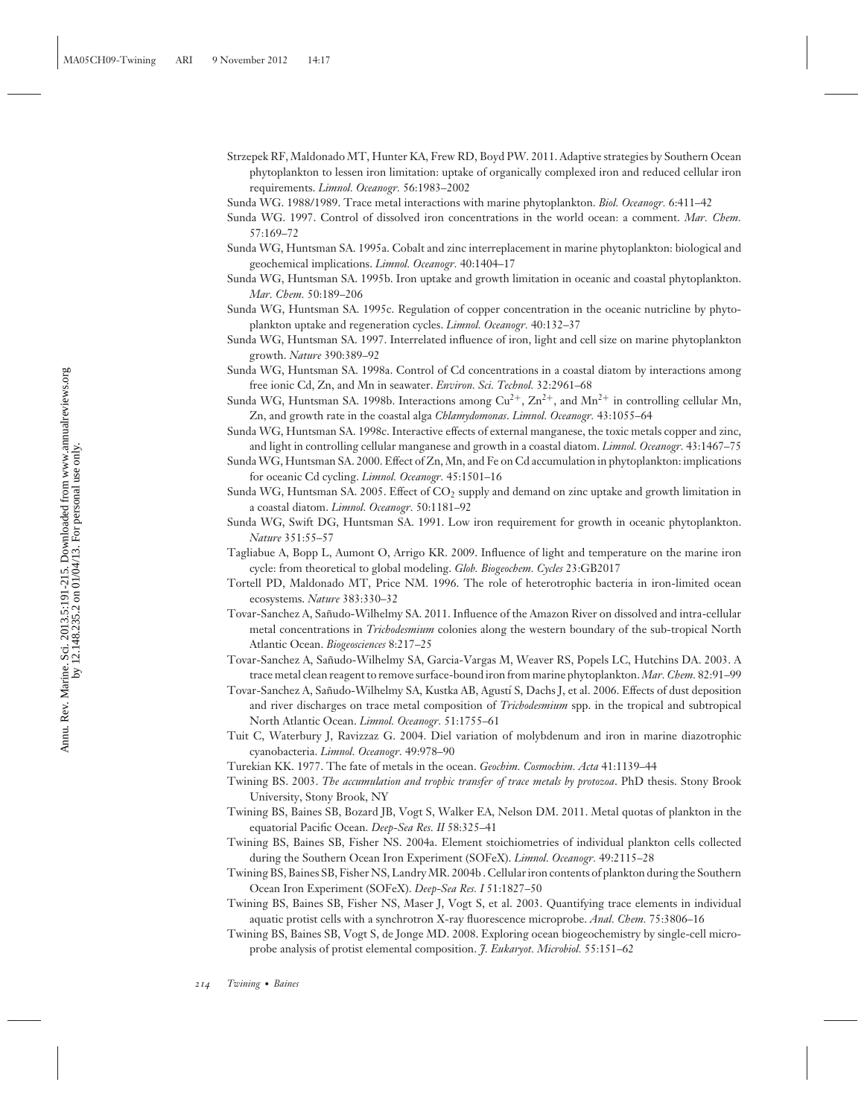Strzepek RF, Maldonado MT, Hunter KA, Frew RD, Boyd PW. 2011. Adaptive strategies by Southern Ocean phytoplankton to lessen iron limitation: uptake of organically complexed iron and reduced cellular iron requirements. *Limnol. Oceanogr.* 56:1983–2002

Sunda WG. 1988/1989. Trace metal interactions with marine phytoplankton. *Biol. Oceanogr.* 6:411–42

Sunda WG. 1997. Control of dissolved iron concentrations in the world ocean: a comment. *Mar. Chem.* 57:169–72

- Sunda WG, Huntsman SA. 1995a. Cobalt and zinc interreplacement in marine phytoplankton: biological and geochemical implications. *Limnol. Oceanogr.* 40:1404–17
- Sunda WG, Huntsman SA. 1995b. Iron uptake and growth limitation in oceanic and coastal phytoplankton. *Mar. Chem.* 50:189–206
- Sunda WG, Huntsman SA. 1995c. Regulation of copper concentration in the oceanic nutricline by phytoplankton uptake and regeneration cycles. *Limnol. Oceanogr.* 40:132–37
- Sunda WG, Huntsman SA. 1997. Interrelated influence of iron, light and cell size on marine phytoplankton growth. *Nature* 390:389–92

Sunda WG, Huntsman SA. 1998a. Control of Cd concentrations in a coastal diatom by interactions among free ionic Cd, Zn, and Mn in seawater. *Environ. Sci. Technol.* 32:2961–68

Sunda WG, Huntsman SA. 1998b. Interactions among  $Cu^{2+}$ ,  $Zn^{2+}$ , and  $Mn^{2+}$  in controlling cellular Mn, Zn, and growth rate in the coastal alga *Chlamydomonas*. *Limnol. Oceanogr.* 43:1055–64

Sunda WG, Huntsman SA. 1998c. Interactive effects of external manganese, the toxic metals copper and zinc, and light in controlling cellular manganese and growth in a coastal diatom. *Limnol. Oceanogr.* 43:1467–75

Sunda WG, Huntsman SA. 2000. Effect of Zn, Mn, and Fe on Cd accumulation in phytoplankton: implications for oceanic Cd cycling. *Limnol. Oceanogr.* 45:1501–16

Sunda WG, Huntsman SA. 2005. Effect of  $CO<sub>2</sub>$  supply and demand on zinc uptake and growth limitation in a coastal diatom. *Limnol. Oceanogr.* 50:1181–92

Sunda WG, Swift DG, Huntsman SA. 1991. Low iron requirement for growth in oceanic phytoplankton. *Nature* 351:55–57

- Tagliabue A, Bopp L, Aumont O, Arrigo KR. 2009. Influence of light and temperature on the marine iron cycle: from theoretical to global modeling. *Glob. Biogeochem. Cycles* 23:GB2017
- Tortell PD, Maldonado MT, Price NM. 1996. The role of heterotrophic bacteria in iron-limited ocean ecosystems. *Nature* 383:330–32
- Tovar-Sanchez A, Sanudo-Wilhelmy SA. 2011. Influence of the Amazon River on dissolved and intra-cellular ˜ metal concentrations in *Trichodesmium* colonies along the western boundary of the sub-tropical North Atlantic Ocean. *Biogeosciences* 8:217–25

Tovar-Sanchez A, Sanudo-Wilhelmy SA, Garcia-Vargas M, Weaver RS, Popels LC, Hutchins DA. 2003. A ˜ trace metal clean reagent to remove surface-bound iron from marine phytoplankton. *Mar. Chem.* 82:91–99

- Tovar-Sanchez A, Sañudo-Wilhelmy SA, Kustka AB, Agustí S, Dachs J, et al. 2006. Effects of dust deposition and river discharges on trace metal composition of *Trichodesmium* spp. in the tropical and subtropical North Atlantic Ocean. *Limnol. Oceanogr.* 51:1755–61
- Tuit C, Waterbury J, Ravizzaz G. 2004. Diel variation of molybdenum and iron in marine diazotrophic cyanobacteria. *Limnol. Oceanogr.* 49:978–90
- Turekian KK. 1977. The fate of metals in the ocean. *Geochim. Cosmochim. Acta* 41:1139–44
- Twining BS. 2003. *The accumulation and trophic transfer of trace metals by protozoa*. PhD thesis. Stony Brook University, Stony Brook, NY
- Twining BS, Baines SB, Bozard JB, Vogt S, Walker EA, Nelson DM. 2011. Metal quotas of plankton in the equatorial Pacific Ocean. *Deep-Sea Res. II* 58:325–41
- Twining BS, Baines SB, Fisher NS. 2004a. Element stoichiometries of individual plankton cells collected during the Southern Ocean Iron Experiment (SOFeX). *Limnol. Oceanogr.* 49:2115–28
- Twining BS, Baines SB, Fisher NS, Landry MR. 2004b . Cellular iron contents of plankton during the Southern Ocean Iron Experiment (SOFeX). *Deep-Sea Res. I* 51:1827–50
- Twining BS, Baines SB, Fisher NS, Maser J, Vogt S, et al. 2003. Quantifying trace elements in individual aquatic protist cells with a synchrotron X-ray fluorescence microprobe. *Anal. Chem.* 75:3806–16

Twining BS, Baines SB, Vogt S, de Jonge MD. 2008. Exploring ocean biogeochemistry by single-cell microprobe analysis of protist elemental composition. *J. Eukaryot. Microbiol.* 55:151–62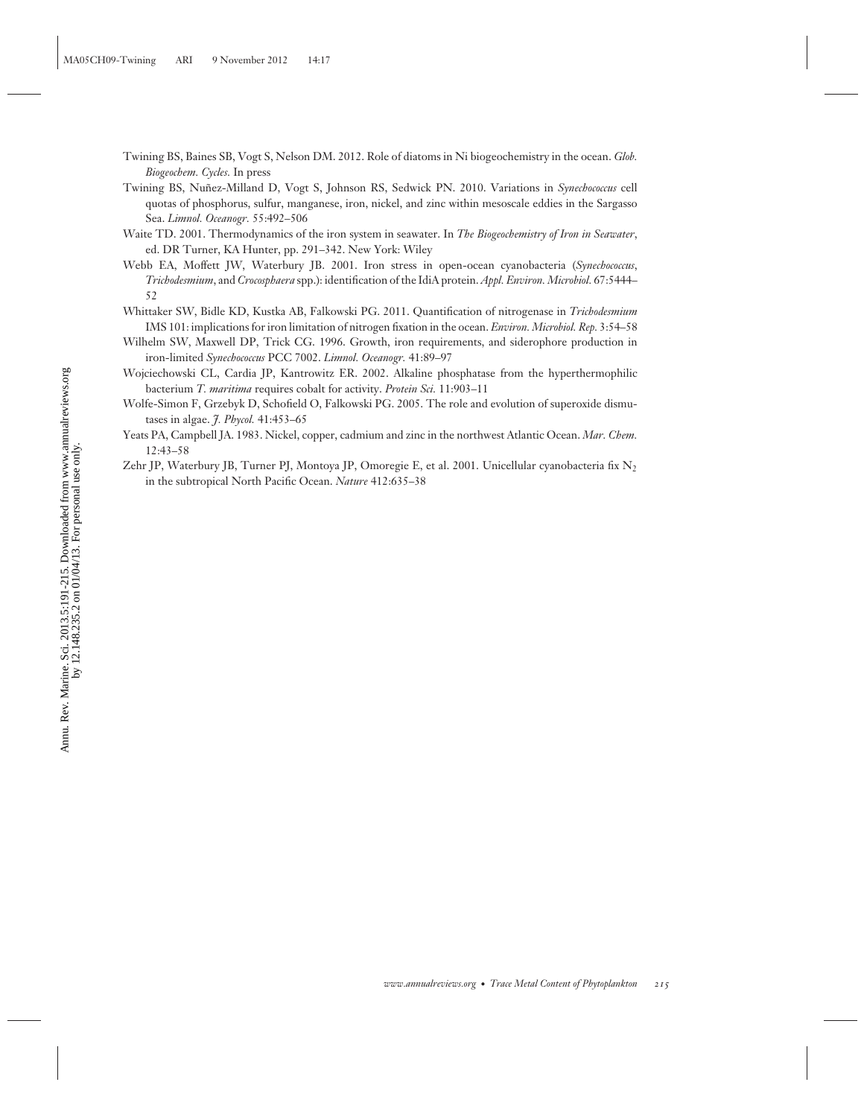- Twining BS, Baines SB, Vogt S, Nelson DM. 2012. Role of diatoms in Ni biogeochemistry in the ocean. *Glob. Biogeochem. Cycles.* In press
- Twining BS, Nuñez-Milland D, Vogt S, Johnson RS, Sedwick PN. 2010. Variations in Synechococcus cell quotas of phosphorus, sulfur, manganese, iron, nickel, and zinc within mesoscale eddies in the Sargasso Sea. *Limnol. Oceanogr.* 55:492–506
- Waite TD. 2001. Thermodynamics of the iron system in seawater. In *The Biogeochemistry of Iron in Seawater*, ed. DR Turner, KA Hunter, pp. 291–342. New York: Wiley
- Webb EA, Moffett JW, Waterbury JB. 2001. Iron stress in open-ocean cyanobacteria (*Synechococcus*, *Trichodesmium*, and *Crocosphaera* spp.): identification of the IdiA protein. *Appl. Environ. Microbiol.* 67:5444– 52
- Whittaker SW, Bidle KD, Kustka AB, Falkowski PG. 2011. Quantification of nitrogenase in *Trichodesmium* IMS 101: implications for iron limitation of nitrogen fixation in the ocean. *Environ. Microbiol. Rep.* 3:54–58
- Wilhelm SW, Maxwell DP, Trick CG. 1996. Growth, iron requirements, and siderophore production in iron-limited *Synechococcus* PCC 7002. *Limnol. Oceanogr.* 41:89–97
- Wojciechowski CL, Cardia JP, Kantrowitz ER. 2002. Alkaline phosphatase from the hyperthermophilic bacterium *T. maritima* requires cobalt for activity. *Protein Sci.* 11:903–11
- Wolfe-Simon F, Grzebyk D, Schofield O, Falkowski PG. 2005. The role and evolution of superoxide dismutases in algae. *J. Phycol.* 41:453–65
- Yeats PA, Campbell JA. 1983. Nickel, copper, cadmium and zinc in the northwest Atlantic Ocean. *Mar. Chem.* 12:43–58
- Zehr JP, Waterbury JB, Turner PJ, Montoya JP, Omoregie E, et al. 2001. Unicellular cyanobacteria fix N<sub>2</sub> in the subtropical North Pacific Ocean. *Nature* 412:635–38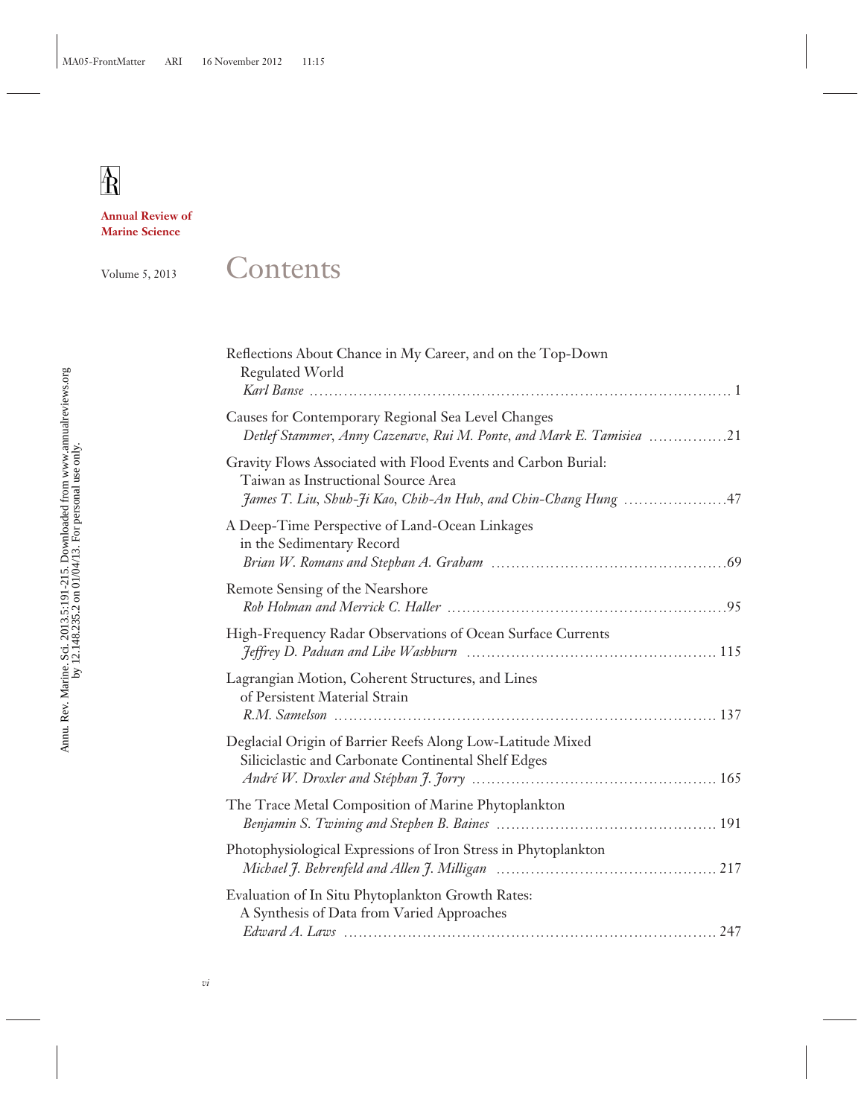#### **Annual Review of Marine Science**

## Volume 5, 2013 Contents

| Reflections About Chance in My Career, and on the Top-Down<br>Regulated World                                                                                                                                                                                                                                                                                                                                               |
|-----------------------------------------------------------------------------------------------------------------------------------------------------------------------------------------------------------------------------------------------------------------------------------------------------------------------------------------------------------------------------------------------------------------------------|
| Causes for Contemporary Regional Sea Level Changes<br>Detlef Stammer, Anny Cazenave, Rui M. Ponte, and Mark E. Tamisiea 21                                                                                                                                                                                                                                                                                                  |
| Gravity Flows Associated with Flood Events and Carbon Burial:<br>Taiwan as Instructional Source Area<br>James T. Liu, Shuh-Ji Kao, Chih-An Huh, and Chin-Chang Hung 47                                                                                                                                                                                                                                                      |
| A Deep-Time Perspective of Land-Ocean Linkages<br>in the Sedimentary Record                                                                                                                                                                                                                                                                                                                                                 |
| Remote Sensing of the Nearshore                                                                                                                                                                                                                                                                                                                                                                                             |
| High-Frequency Radar Observations of Ocean Surface Currents                                                                                                                                                                                                                                                                                                                                                                 |
| Lagrangian Motion, Coherent Structures, and Lines<br>of Persistent Material Strain<br>$R.M.$ Samelson $\ldots$ $\ldots$ $\ldots$ $\ldots$ $\ldots$ $\ldots$ $\ldots$ $\ldots$ $\ldots$ $\ldots$ $\ldots$ $\ldots$ $\ldots$ $\ldots$ $\ldots$ $\ldots$ $\ldots$ $\ldots$ $\ldots$ $\ldots$ $\ldots$ $\ldots$ $\ldots$ $\ldots$ $\ldots$ $\ldots$ $\ldots$ $\ldots$ $\ldots$ $\ldots$ $\ldots$ $\ldots$ $\ldots$ $\ldots$ $\$ |
| Deglacial Origin of Barrier Reefs Along Low-Latitude Mixed<br>Siliciclastic and Carbonate Continental Shelf Edges                                                                                                                                                                                                                                                                                                           |
| The Trace Metal Composition of Marine Phytoplankton                                                                                                                                                                                                                                                                                                                                                                         |
| Photophysiological Expressions of Iron Stress in Phytoplankton                                                                                                                                                                                                                                                                                                                                                              |
| Evaluation of In Situ Phytoplankton Growth Rates:<br>A Synthesis of Data from Varied Approaches                                                                                                                                                                                                                                                                                                                             |